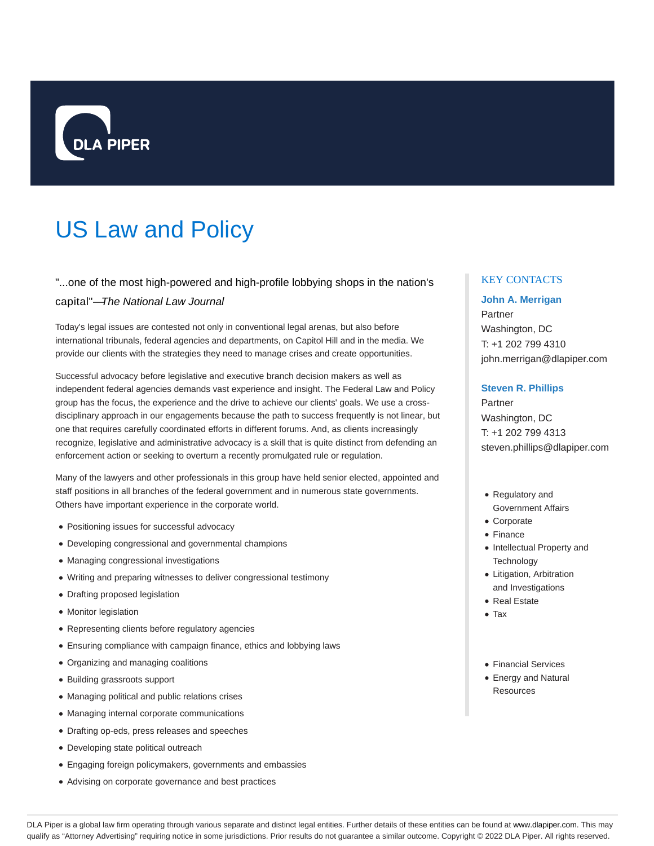

# US Law and Policy

# "...one of the most high-powered and high-profile lobbying shops in the nation's

#### capital"—The National Law Journal

Today's legal issues are contested not only in conventional legal arenas, but also before international tribunals, federal agencies and departments, on Capitol Hill and in the media. We provide our clients with the strategies they need to manage crises and create opportunities.

Successful advocacy before legislative and executive branch decision makers as well as independent federal agencies demands vast experience and insight. The Federal Law and Policy group has the focus, the experience and the drive to achieve our clients' goals. We use a crossdisciplinary approach in our engagements because the path to success frequently is not linear, but one that requires carefully coordinated efforts in different forums. And, as clients increasingly recognize, legislative and administrative advocacy is a skill that is quite distinct from defending an enforcement action or seeking to overturn a recently promulgated rule or regulation.

Many of the lawyers and other professionals in this group have held senior elected, appointed and staff positions in all branches of the federal government and in numerous state governments. Others have important experience in the corporate world.

- Positioning issues for successful advocacy
- Developing congressional and governmental champions
- Managing congressional investigations
- Writing and preparing witnesses to deliver congressional testimony
- Drafting proposed legislation
- Monitor legislation
- Representing clients before regulatory agencies
- Ensuring compliance with campaign finance, ethics and lobbying laws
- Organizing and managing coalitions
- Building grassroots support
- Managing political and public relations crises
- Managing internal corporate communications
- Drafting op-eds, press releases and speeches
- Developing state political outreach
- Engaging foreign policymakers, governments and embassies
- Advising on corporate governance and best practices

### KEY CONTACTS

### **John A. Merrigan**

Partner Washington, DC T: +1 202 799 4310 john.merrigan@dlapiper.com

#### **Steven R. Phillips**

Partner Washington, DC T: +1 202 799 4313 steven.phillips@dlapiper.com

- Regulatory and Government Affairs
- Corporate
- Finance
- Intellectual Property and **Technology**
- Litigation, Arbitration and Investigations
- Real Estate
- Tax
- Financial Services
- Energy and Natural **Resources**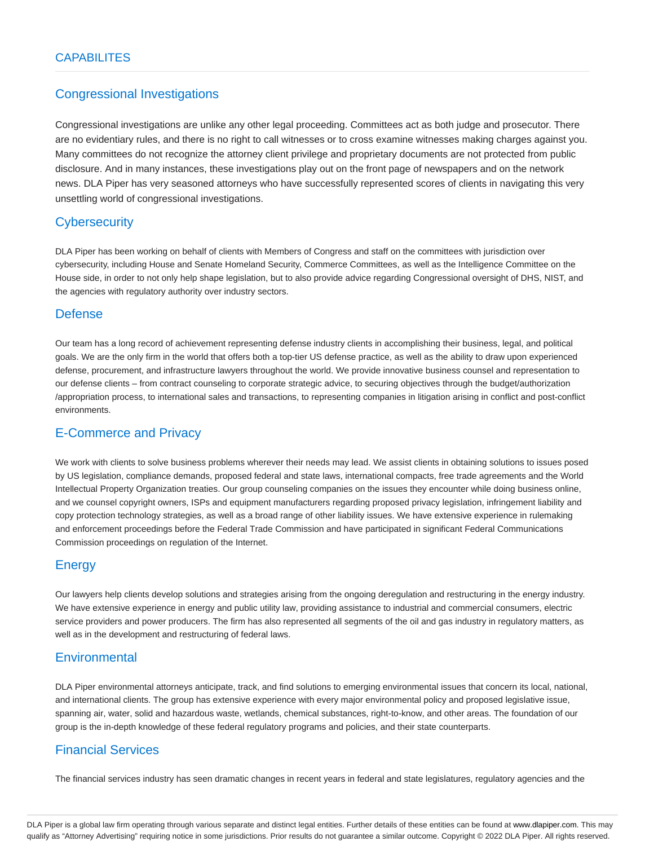# Congressional Investigations

Congressional investigations are unlike any other legal proceeding. Committees act as both judge and prosecutor. There are no evidentiary rules, and there is no right to call witnesses or to cross examine witnesses making charges against you. Many committees do not recognize the attorney client privilege and proprietary documents are not protected from public disclosure. And in many instances, these investigations play out on the front page of newspapers and on the network news. DLA Piper has very seasoned attorneys who have successfully represented scores of clients in navigating this very unsettling world of congressional investigations.

# **Cybersecurity**

DLA Piper has been working on behalf of clients with Members of Congress and staff on the committees with jurisdiction over cybersecurity, including House and Senate Homeland Security, Commerce Committees, as well as the Intelligence Committee on the House side, in order to not only help shape legislation, but to also provide advice regarding Congressional oversight of DHS, NIST, and the agencies with regulatory authority over industry sectors.

# Defense

Our team has a long record of achievement representing defense industry clients in accomplishing their business, legal, and political goals. We are the only firm in the world that offers both a top-tier US defense practice, as well as the ability to draw upon experienced defense, procurement, and infrastructure lawyers throughout the world. We provide innovative business counsel and representation to our defense clients – from contract counseling to corporate strategic advice, to securing objectives through the budget/authorization /appropriation process, to international sales and transactions, to representing companies in litigation arising in conflict and post-conflict environments.

# E-Commerce and Privacy

We work with clients to solve business problems wherever their needs may lead. We assist clients in obtaining solutions to issues posed by US legislation, compliance demands, proposed federal and state laws, international compacts, free trade agreements and the World Intellectual Property Organization treaties. Our group counseling companies on the issues they encounter while doing business online, and we counsel copyright owners, ISPs and equipment manufacturers regarding proposed privacy legislation, infringement liability and copy protection technology strategies, as well as a broad range of other liability issues. We have extensive experience in rulemaking and enforcement proceedings before the Federal Trade Commission and have participated in significant Federal Communications Commission proceedings on regulation of the Internet.

# **Energy**

Our lawyers help clients develop solutions and strategies arising from the ongoing deregulation and restructuring in the energy industry. We have extensive experience in energy and public utility law, providing assistance to industrial and commercial consumers, electric service providers and power producers. The firm has also represented all segments of the oil and gas industry in regulatory matters, as well as in the development and restructuring of federal laws.

# **Environmental**

DLA Piper environmental attorneys anticipate, track, and find solutions to emerging environmental issues that concern its local, national, and international clients. The group has extensive experience with every major environmental policy and proposed legislative issue, spanning air, water, solid and hazardous waste, wetlands, chemical substances, right-to-know, and other areas. The foundation of our group is the in-depth knowledge of these federal regulatory programs and policies, and their state counterparts.

# Financial Services

The financial services industry has seen dramatic changes in recent years in federal and state legislatures, regulatory agencies and the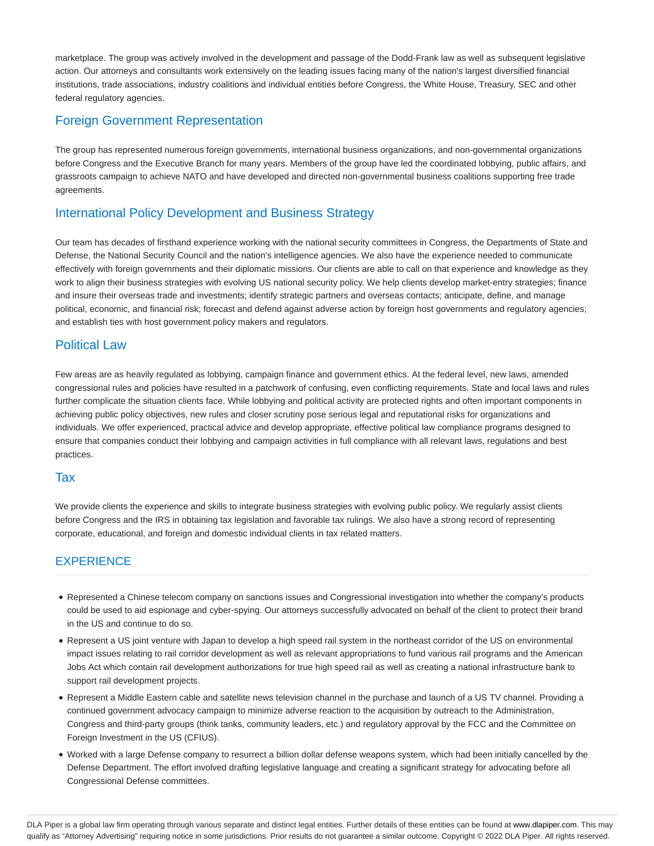marketplace. The group was actively involved in the development and passage of the Dodd-Frank law as well as subsequent legislative action. Our attorneys and consultants work extensively on the leading issues facing many of the nation's largest diversified financial institutions, trade associations, industry coalitions and individual entities before Congress, the White House, Treasury, SEC and other federal regulatory agencies.

# Foreign Government Representation

The group has represented numerous foreign governments, international business organizations, and non-governmental organizations before Congress and the Executive Branch for many years. Members of the group have led the coordinated lobbying, public affairs, and grassroots campaign to achieve NATO and have developed and directed non-governmental business coalitions supporting free trade agreements.

# International Policy Development and Business Strategy

Our team has decades of firsthand experience working with the national security committees in Congress, the Departments of State and Defense, the National Security Council and the nation's intelligence agencies. We also have the experience needed to communicate effectively with foreign governments and their diplomatic missions. Our clients are able to call on that experience and knowledge as they work to align their business strategies with evolving US national security policy. We help clients develop market-entry strategies; finance and insure their overseas trade and investments; identify strategic partners and overseas contacts; anticipate, define, and manage political, economic, and financial risk; forecast and defend against adverse action by foreign host governments and regulatory agencies; and establish ties with host government policy makers and regulators.

# Political Law

Few areas are as heavily regulated as lobbying, campaign finance and government ethics. At the federal level, new laws, amended congressional rules and policies have resulted in a patchwork of confusing, even conflicting requirements. State and local laws and rules further complicate the situation clients face. While lobbying and political activity are protected rights and often important components in achieving public policy objectives, new rules and closer scrutiny pose serious legal and reputational risks for organizations and individuals. We offer experienced, practical advice and develop appropriate, effective political law compliance programs designed to ensure that companies conduct their lobbying and campaign activities in full compliance with all relevant laws, regulations and best practices.

### Tax

We provide clients the experience and skills to integrate business strategies with evolving public policy. We regularly assist clients before Congress and the IRS in obtaining tax legislation and favorable tax rulings. We also have a strong record of representing corporate, educational, and foreign and domestic individual clients in tax related matters.

# **EXPERIENCE**

- Represented a Chinese telecom company on sanctions issues and Congressional investigation into whether the company's products could be used to aid espionage and cyber-spying. Our attorneys successfully advocated on behalf of the client to protect their brand in the US and continue to do so.
- Represent a US joint venture with Japan to develop a high speed rail system in the northeast corridor of the US on environmental impact issues relating to rail corridor development as well as relevant appropriations to fund various rail programs and the American Jobs Act which contain rail development authorizations for true high speed rail as well as creating a national infrastructure bank to support rail development projects.
- Represent a Middle Eastern cable and satellite news television channel in the purchase and launch of a US TV channel. Providing a continued government advocacy campaign to minimize adverse reaction to the acquisition by outreach to the Administration, Congress and third-party groups (think tanks, community leaders, etc.) and regulatory approval by the FCC and the Committee on Foreign Investment in the US (CFIUS).
- Worked with a large Defense company to resurrect a billion dollar defense weapons system, which had been initially cancelled by the Defense Department. The effort involved drafting legislative language and creating a significant strategy for advocating before all Congressional Defense committees.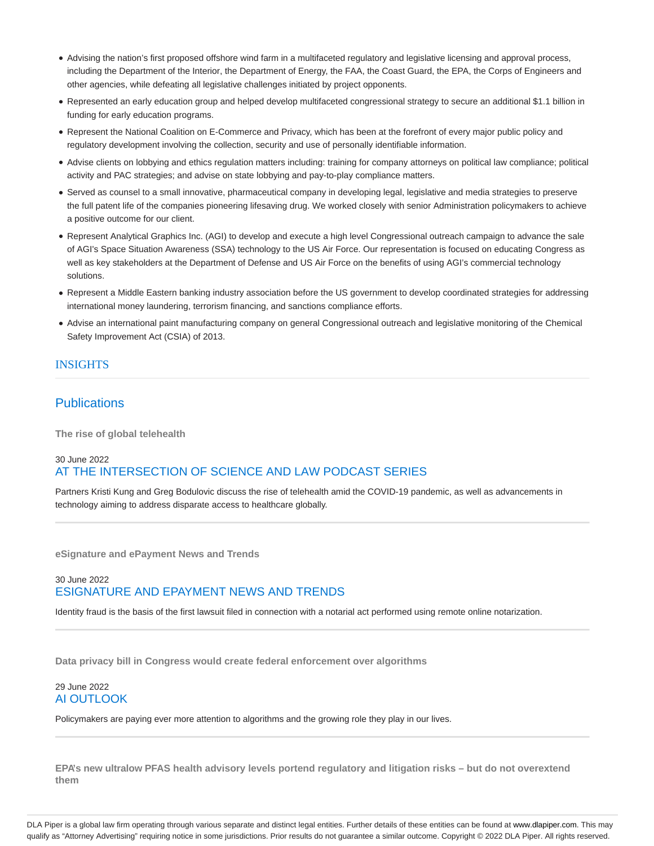- Advising the nation's first proposed offshore wind farm in a multifaceted regulatory and legislative licensing and approval process, including the Department of the Interior, the Department of Energy, the FAA, the Coast Guard, the EPA, the Corps of Engineers and other agencies, while defeating all legislative challenges initiated by project opponents.
- Represented an early education group and helped develop multifaceted congressional strategy to secure an additional \$1.1 billion in funding for early education programs.
- Represent the National Coalition on E-Commerce and Privacy, which has been at the forefront of every major public policy and regulatory development involving the collection, security and use of personally identifiable information.
- Advise clients on lobbying and ethics regulation matters including: training for company attorneys on political law compliance; political activity and PAC strategies; and advise on state lobbying and pay-to-play compliance matters.
- Served as counsel to a small innovative, pharmaceutical company in developing legal, legislative and media strategies to preserve the full patent life of the companies pioneering lifesaving drug. We worked closely with senior Administration policymakers to achieve a positive outcome for our client.
- Represent Analytical Graphics Inc. (AGI) to develop and execute a high level Congressional outreach campaign to advance the sale of AGI's Space Situation Awareness (SSA) technology to the US Air Force. Our representation is focused on educating Congress as well as key stakeholders at the Department of Defense and US Air Force on the benefits of using AGI's commercial technology solutions.
- Represent a Middle Eastern banking industry association before the US government to develop coordinated strategies for addressing international money laundering, terrorism financing, and sanctions compliance efforts.
- Advise an international paint manufacturing company on general Congressional outreach and legislative monitoring of the Chemical Safety Improvement Act (CSIA) of 2013.

### **INSIGHTS**

## **Publications**

**The rise of global telehealth**

# 30 June 2022 AT THE INTERSECTION OF SCIENCE AND LAW PODCAST SERIES

Partners Kristi Kung and Greg Bodulovic discuss the rise of telehealth amid the COVID-19 pandemic, as well as advancements in technology aiming to address disparate access to healthcare globally.

**eSignature and ePayment News and Trends**

### 30 June 2022 ESIGNATURE AND EPAYMENT NEWS AND TRENDS

Identity fraud is the basis of the first lawsuit filed in connection with a notarial act performed using remote online notarization.

**Data privacy bill in Congress would create federal enforcement over algorithms**

#### 29 June 2022 AI OUTLOOK

Policymakers are paying ever more attention to algorithms and the growing role they play in our lives.

**EPA's new ultralow PFAS health advisory levels portend regulatory and litigation risks – but do not overextend them**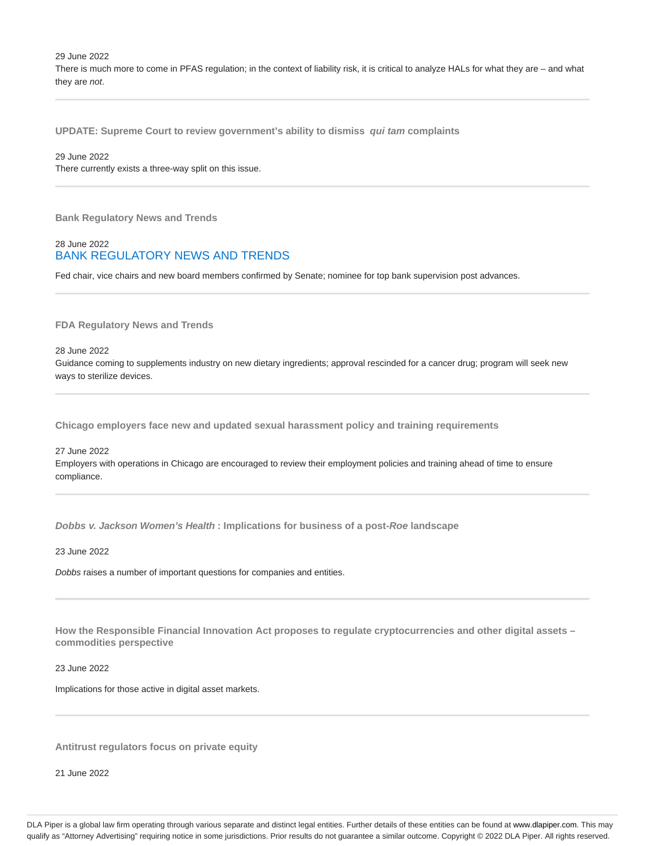29 June 2022 There is much more to come in PFAS regulation; in the context of liability risk, it is critical to analyze HALs for what they are – and what they are not.

**UPDATE: Supreme Court to review government's ability to dismiss qui tam complaints**

#### 29 June 2022

There currently exists a three-way split on this issue.

**Bank Regulatory News and Trends**

#### 28 June 2022 BANK REGULATORY NEWS AND TRENDS

Fed chair, vice chairs and new board members confirmed by Senate; nominee for top bank supervision post advances.

**FDA Regulatory News and Trends**

28 June 2022

Guidance coming to supplements industry on new dietary ingredients; approval rescinded for a cancer drug; program will seek new ways to sterilize devices.

**Chicago employers face new and updated sexual harassment policy and training requirements**

# 27 June 2022 Employers with operations in Chicago are encouraged to review their employment policies and training ahead of time to ensure compliance.

**Dobbs v. Jackson Women's Health : Implications for business of a post-Roe landscape**

23 June 2022

Dobbs raises a number of important questions for companies and entities.

**How the Responsible Financial Innovation Act proposes to regulate cryptocurrencies and other digital assets – commodities perspective**

23 June 2022

Implications for those active in digital asset markets.

**Antitrust regulators focus on private equity**

21 June 2022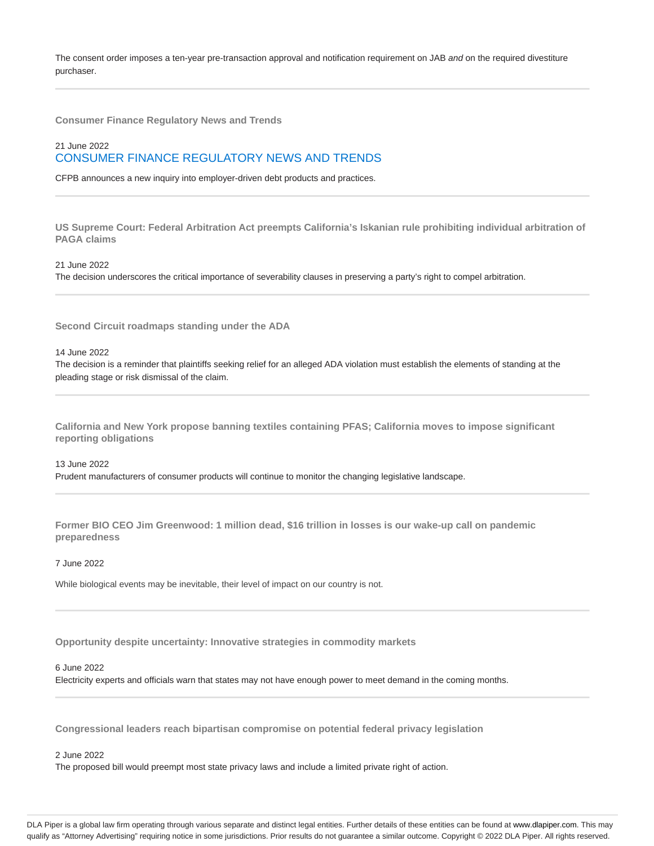The consent order imposes a ten-year pre-transaction approval and notification requirement on JAB and on the required divestiture purchaser.

**Consumer Finance Regulatory News and Trends**

# 21 June 2022 CONSUMER FINANCE REGULATORY NEWS AND TRENDS

CFPB announces a new inquiry into employer-driven debt products and practices.

**US Supreme Court: Federal Arbitration Act preempts California's Iskanian rule prohibiting individual arbitration of PAGA claims**

21 June 2022

The decision underscores the critical importance of severability clauses in preserving a party's right to compel arbitration.

**Second Circuit roadmaps standing under the ADA**

14 June 2022

The decision is a reminder that plaintiffs seeking relief for an alleged ADA violation must establish the elements of standing at the pleading stage or risk dismissal of the claim.

**California and New York propose banning textiles containing PFAS; California moves to impose significant reporting obligations**

13 June 2022 Prudent manufacturers of consumer products will continue to monitor the changing legislative landscape.

**Former BIO CEO Jim Greenwood: 1 million dead, \$16 trillion in losses is our wake-up call on pandemic preparedness**

7 June 2022

While biological events may be inevitable, their level of impact on our country is not.

**Opportunity despite uncertainty: Innovative strategies in commodity markets**

6 June 2022

Electricity experts and officials warn that states may not have enough power to meet demand in the coming months.

**Congressional leaders reach bipartisan compromise on potential federal privacy legislation**

2 June 2022

The proposed bill would preempt most state privacy laws and include a limited private right of action.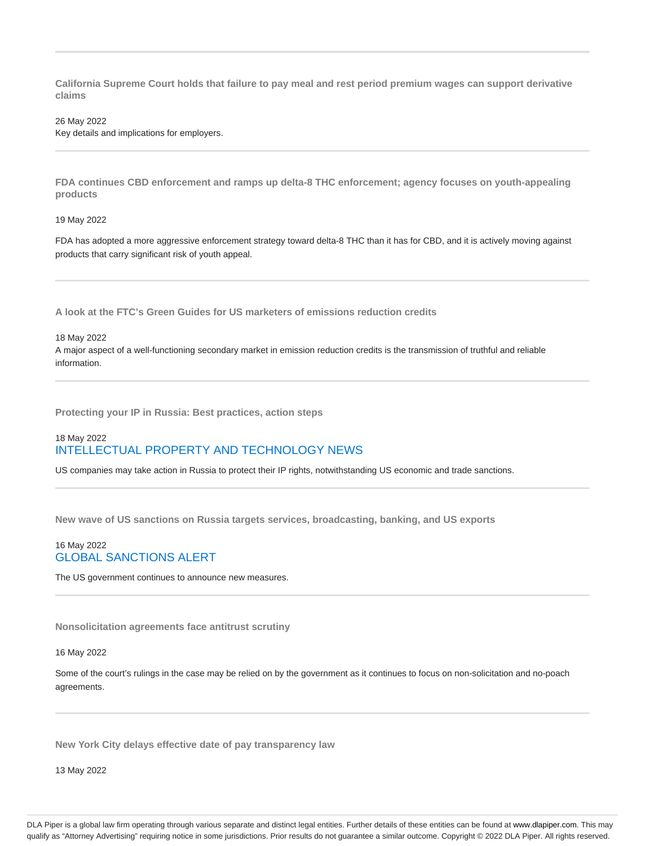**California Supreme Court holds that failure to pay meal and rest period premium wages can support derivative claims**

#### 26 May 2022

Key details and implications for employers.

**FDA continues CBD enforcement and ramps up delta-8 THC enforcement; agency focuses on youth-appealing products**

#### 19 May 2022

FDA has adopted a more aggressive enforcement strategy toward delta-8 THC than it has for CBD, and it is actively moving against products that carry significant risk of youth appeal.

**A look at the FTC's Green Guides for US marketers of emissions reduction credits**

#### 18 May 2022

A major aspect of a well-functioning secondary market in emission reduction credits is the transmission of truthful and reliable information.

**Protecting your IP in Russia: Best practices, action steps**

### 18 May 2022 INTELLECTUAL PROPERTY AND TECHNOLOGY NEWS

US companies may take action in Russia to protect their IP rights, notwithstanding US economic and trade sanctions.

**New wave of US sanctions on Russia targets services, broadcasting, banking, and US exports**

#### 16 May 2022 GLOBAL SANCTIONS ALERT

The US government continues to announce new measures.

**Nonsolicitation agreements face antitrust scrutiny**

16 May 2022

Some of the court's rulings in the case may be relied on by the government as it continues to focus on non-solicitation and no-poach agreements.

**New York City delays effective date of pay transparency law**

13 May 2022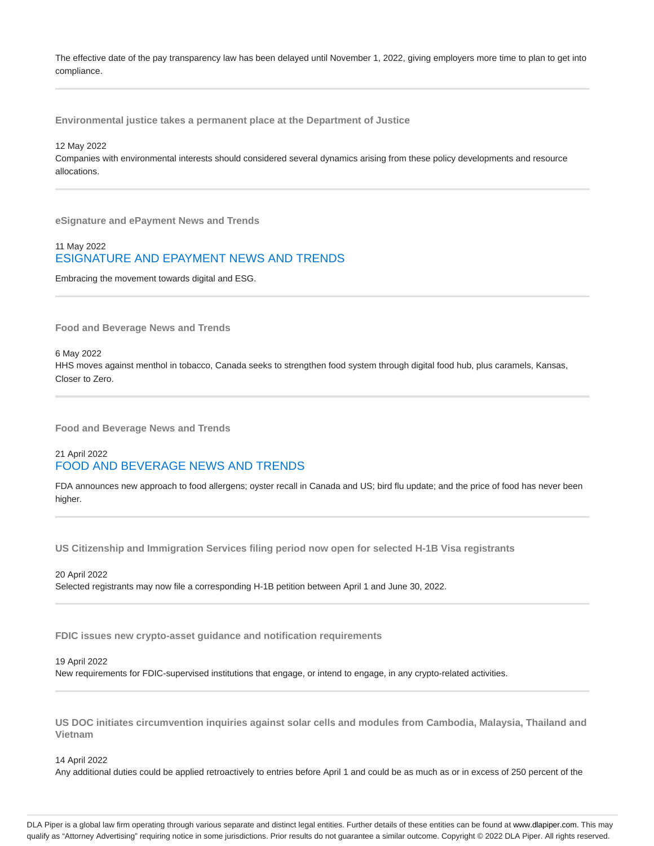The effective date of the pay transparency law has been delayed until November 1, 2022, giving employers more time to plan to get into compliance.

**Environmental justice takes a permanent place at the Department of Justice**

#### 12 May 2022

Companies with environmental interests should considered several dynamics arising from these policy developments and resource allocations.

**eSignature and ePayment News and Trends**

### 11 May 2022 ESIGNATURE AND EPAYMENT NEWS AND TRENDS

Embracing the movement towards digital and ESG.

**Food and Beverage News and Trends**

6 May 2022

HHS moves against menthol in tobacco, Canada seeks to strengthen food system through digital food hub, plus caramels, Kansas, Closer to Zero.

**Food and Beverage News and Trends**

#### 21 April 2022 FOOD AND BEVERAGE NEWS AND TRENDS

FDA announces new approach to food allergens; oyster recall in Canada and US; bird flu update; and the price of food has never been higher.

**US Citizenship and Immigration Services filing period now open for selected H-1B Visa registrants**

20 April 2022 Selected registrants may now file a corresponding H-1B petition between April 1 and June 30, 2022.

**FDIC issues new crypto-asset guidance and notification requirements**

#### 19 April 2022

New requirements for FDIC-supervised institutions that engage, or intend to engage, in any crypto-related activities.

**US DOC initiates circumvention inquiries against solar cells and modules from Cambodia, Malaysia, Thailand and Vietnam**

14 April 2022

Any additional duties could be applied retroactively to entries before April 1 and could be as much as or in excess of 250 percent of the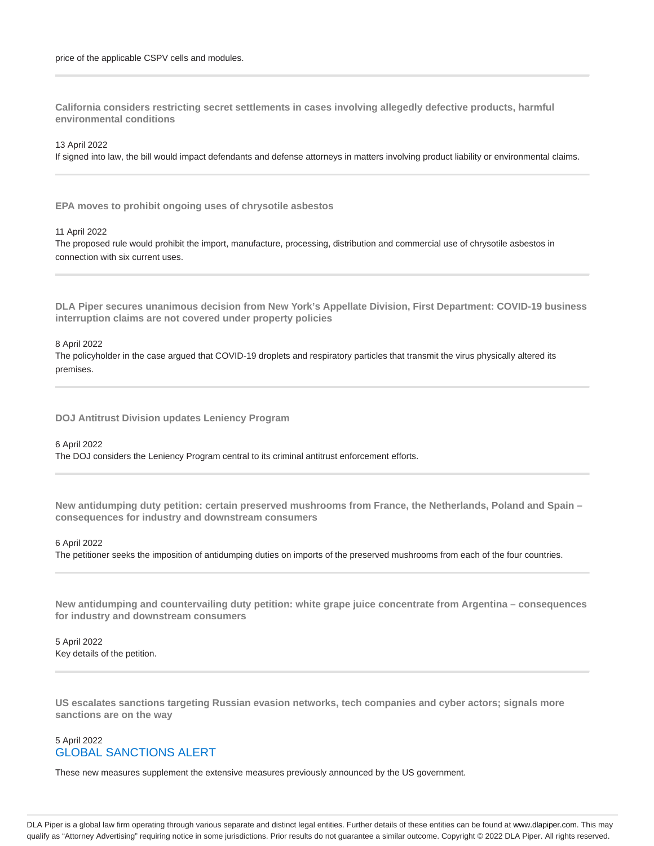**California considers restricting secret settlements in cases involving allegedly defective products, harmful environmental conditions**

13 April 2022

If signed into law, the bill would impact defendants and defense attorneys in matters involving product liability or environmental claims.

**EPA moves to prohibit ongoing uses of chrysotile asbestos**

11 April 2022

The proposed rule would prohibit the import, manufacture, processing, distribution and commercial use of chrysotile asbestos in connection with six current uses.

**DLA Piper secures unanimous decision from New York's Appellate Division, First Department: COVID-19 business interruption claims are not covered under property policies**

#### 8 April 2022

The policyholder in the case argued that COVID-19 droplets and respiratory particles that transmit the virus physically altered its premises.

**DOJ Antitrust Division updates Leniency Program**

#### 6 April 2022

The DOJ considers the Leniency Program central to its criminal antitrust enforcement efforts.

**New antidumping duty petition: certain preserved mushrooms from France, the Netherlands, Poland and Spain – consequences for industry and downstream consumers**

#### 6 April 2022

The petitioner seeks the imposition of antidumping duties on imports of the preserved mushrooms from each of the four countries.

**New antidumping and countervailing duty petition: white grape juice concentrate from Argentina – consequences for industry and downstream consumers**

5 April 2022 Key details of the petition.

**US escalates sanctions targeting Russian evasion networks, tech companies and cyber actors; signals more sanctions are on the way**

### 5 April 2022 GLOBAL SANCTIONS ALERT

These new measures supplement the extensive measures previously announced by the US government.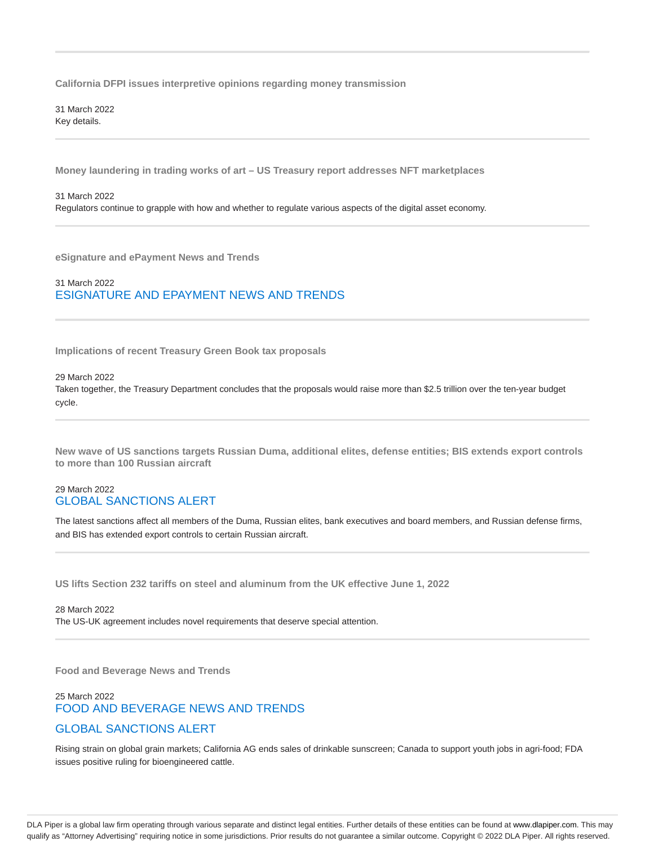**California DFPI issues interpretive opinions regarding money transmission**

31 March 2022 Key details.

**Money laundering in trading works of art – US Treasury report addresses NFT marketplaces**

#### 31 March 2022

Regulators continue to grapple with how and whether to regulate various aspects of the digital asset economy.

**eSignature and ePayment News and Trends**

#### 31 March 2022 ESIGNATURE AND EPAYMENT NEWS AND TRENDS

**Implications of recent Treasury Green Book tax proposals**

#### 29 March 2022

Taken together, the Treasury Department concludes that the proposals would raise more than \$2.5 trillion over the ten-year budget cycle.

**New wave of US sanctions targets Russian Duma, additional elites, defense entities; BIS extends export controls to more than 100 Russian aircraft**

#### 29 March 2022 GLOBAL SANCTIONS ALERT

The latest sanctions affect all members of the Duma, Russian elites, bank executives and board members, and Russian defense firms, and BIS has extended export controls to certain Russian aircraft.

**US lifts Section 232 tariffs on steel and aluminum from the UK effective June 1, 2022**

28 March 2022 The US-UK agreement includes novel requirements that deserve special attention.

**Food and Beverage News and Trends**

# 25 March 2022 FOOD AND BEVERAGE NEWS AND TRENDS GLOBAL SANCTIONS ALERT

Rising strain on global grain markets; California AG ends sales of drinkable sunscreen; Canada to support youth jobs in agri-food; FDA issues positive ruling for bioengineered cattle.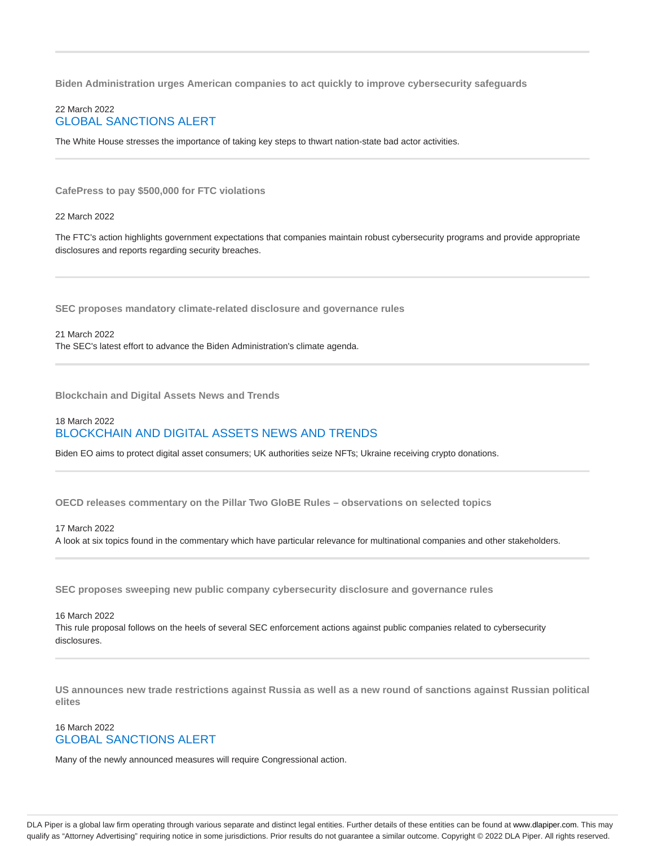**Biden Administration urges American companies to act quickly to improve cybersecurity safeguards**

#### 22 March 2022 GLOBAL SANCTIONS ALERT

The White House stresses the importance of taking key steps to thwart nation-state bad actor activities.

**CafePress to pay \$500,000 for FTC violations**

22 March 2022

The FTC's action highlights government expectations that companies maintain robust cybersecurity programs and provide appropriate disclosures and reports regarding security breaches.

**SEC proposes mandatory climate-related disclosure and governance rules**

21 March 2022 The SEC's latest effort to advance the Biden Administration's climate agenda.

**Blockchain and Digital Assets News and Trends**

### 18 March 2022 BLOCKCHAIN AND DIGITAL ASSETS NEWS AND TRENDS

Biden EO aims to protect digital asset consumers; UK authorities seize NFTs; Ukraine receiving crypto donations.

**OECD releases commentary on the Pillar Two GloBE Rules – observations on selected topics**

#### 17 March 2022

A look at six topics found in the commentary which have particular relevance for multinational companies and other stakeholders.

**SEC proposes sweeping new public company cybersecurity disclosure and governance rules**

16 March 2022 This rule proposal follows on the heels of several SEC enforcement actions against public companies related to cybersecurity disclosures.

**US announces new trade restrictions against Russia as well as a new round of sanctions against Russian political elites**

### 16 March 2022 GLOBAL SANCTIONS ALERT

Many of the newly announced measures will require Congressional action.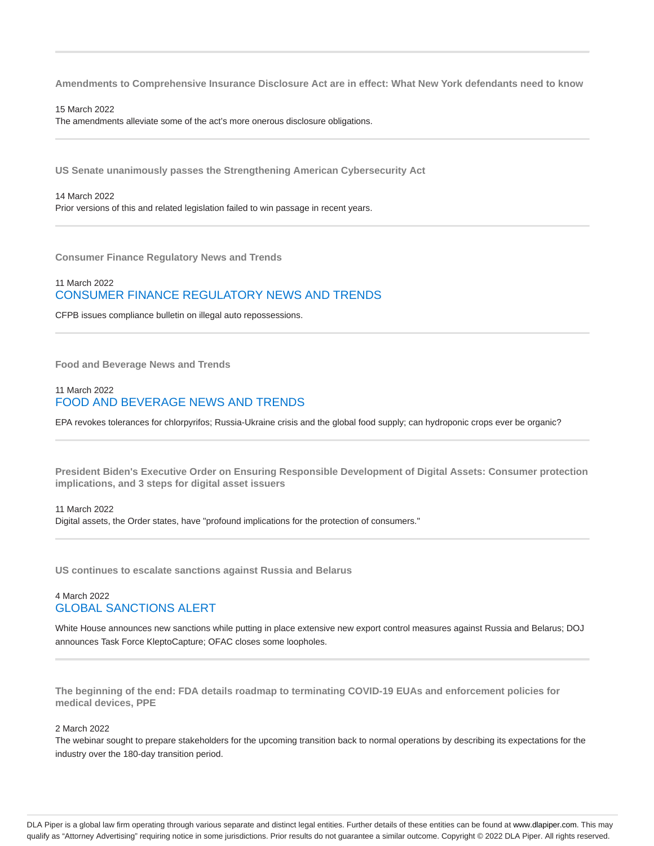**Amendments to Comprehensive Insurance Disclosure Act are in effect: What New York defendants need to know**

15 March 2022 The amendments alleviate some of the act's more onerous disclosure obligations.

**US Senate unanimously passes the Strengthening American Cybersecurity Act**

14 March 2022 Prior versions of this and related legislation failed to win passage in recent years.

**Consumer Finance Regulatory News and Trends**

### 11 March 2022 CONSUMER FINANCE REGULATORY NEWS AND TRENDS

CFPB issues compliance bulletin on illegal auto repossessions.

**Food and Beverage News and Trends**

### 11 March 2022 FOOD AND BEVERAGE NEWS AND TRENDS

EPA revokes tolerances for chlorpyrifos; Russia-Ukraine crisis and the global food supply; can hydroponic crops ever be organic?

**President Biden's Executive Order on Ensuring Responsible Development of Digital Assets: Consumer protection implications, and 3 steps for digital asset issuers**

11 March 2022 Digital assets, the Order states, have "profound implications for the protection of consumers."

**US continues to escalate sanctions against Russia and Belarus**

#### 4 March 2022 GLOBAL SANCTIONS ALERT

White House announces new sanctions while putting in place extensive new export control measures against Russia and Belarus; DOJ announces Task Force KleptoCapture; OFAC closes some loopholes.

**The beginning of the end: FDA details roadmap to terminating COVID-19 EUAs and enforcement policies for medical devices, PPE**

2 March 2022

The webinar sought to prepare stakeholders for the upcoming transition back to normal operations by describing its expectations for the industry over the 180-day transition period.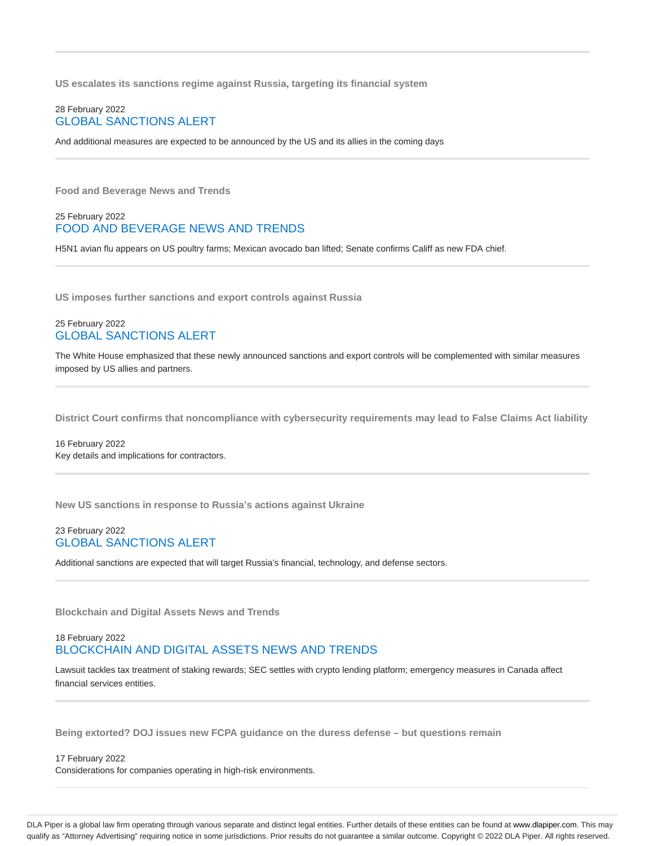**US escalates its sanctions regime against Russia, targeting its financial system**

#### 28 February 2022 GLOBAL SANCTIONS ALERT

And additional measures are expected to be announced by the US and its allies in the coming days

**Food and Beverage News and Trends**

#### 25 February 2022 FOOD AND BEVERAGE NEWS AND TRENDS

H5N1 avian flu appears on US poultry farms; Mexican avocado ban lifted; Senate confirms Califf as new FDA chief.

**US imposes further sanctions and export controls against Russia**

#### 25 February 2022 GLOBAL SANCTIONS ALERT

The White House emphasized that these newly announced sanctions and export controls will be complemented with similar measures imposed by US allies and partners.

**District Court confirms that noncompliance with cybersecurity requirements may lead to False Claims Act liability**

16 February 2022 Key details and implications for contractors.

**New US sanctions in response to Russia's actions against Ukraine**

### 23 February 2022 GLOBAL SANCTIONS ALERT

Additional sanctions are expected that will target Russia's financial, technology, and defense sectors.

**Blockchain and Digital Assets News and Trends**

### 18 February 2022 BLOCKCHAIN AND DIGITAL ASSETS NEWS AND TRENDS

Lawsuit tackles tax treatment of staking rewards; SEC settles with crypto lending platform; emergency measures in Canada affect financial services entities.

**Being extorted? DOJ issues new FCPA guidance on the duress defense – but questions remain**

#### 17 February 2022 Considerations for companies operating in high-risk environments.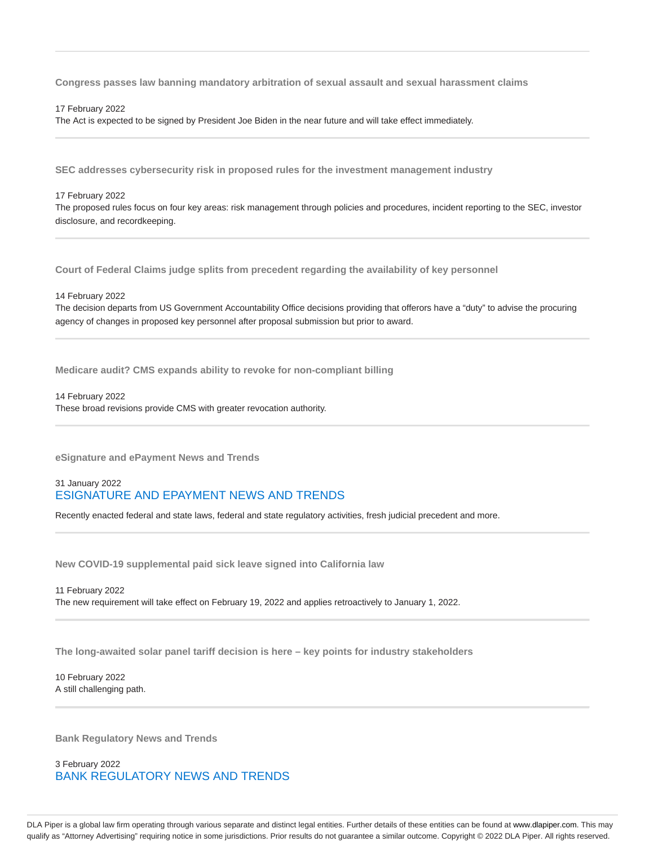**Congress passes law banning mandatory arbitration of sexual assault and sexual harassment claims**

17 February 2022

The Act is expected to be signed by President Joe Biden in the near future and will take effect immediately.

**SEC addresses cybersecurity risk in proposed rules for the investment management industry**

17 February 2022

The proposed rules focus on four key areas: risk management through policies and procedures, incident reporting to the SEC, investor disclosure, and recordkeeping.

**Court of Federal Claims judge splits from precedent regarding the availability of key personnel**

14 February 2022

The decision departs from US Government Accountability Office decisions providing that offerors have a "duty" to advise the procuring agency of changes in proposed key personnel after proposal submission but prior to award.

**Medicare audit? CMS expands ability to revoke for non-compliant billing**

14 February 2022

These broad revisions provide CMS with greater revocation authority.

**eSignature and ePayment News and Trends**

### 31 January 2022 ESIGNATURE AND EPAYMENT NEWS AND TRENDS

Recently enacted federal and state laws, federal and state regulatory activities, fresh judicial precedent and more.

**New COVID-19 supplemental paid sick leave signed into California law**

11 February 2022 The new requirement will take effect on February 19, 2022 and applies retroactively to January 1, 2022.

**The long-awaited solar panel tariff decision is here – key points for industry stakeholders**

10 February 2022 A still challenging path.

**Bank Regulatory News and Trends**

3 February 2022 BANK REGULATORY NEWS AND TRENDS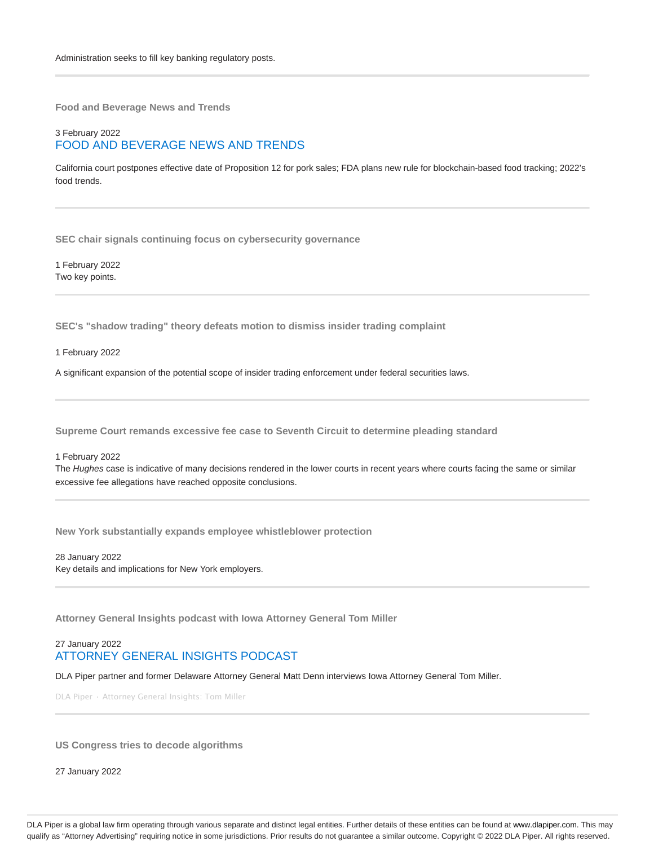**Food and Beverage News and Trends**

### 3 February 2022 FOOD AND BEVERAGE NEWS AND TRENDS

California court postpones effective date of Proposition 12 for pork sales; FDA plans new rule for blockchain-based food tracking; 2022's food trends.

**SEC chair signals continuing focus on cybersecurity governance**

1 February 2022 Two key points.

**SEC's "shadow trading" theory defeats motion to dismiss insider trading complaint**

1 February 2022

A significant expansion of the potential scope of insider trading enforcement under federal securities laws.

**Supreme Court remands excessive fee case to Seventh Circuit to determine pleading standard**

#### 1 February 2022

The Hughes case is indicative of many decisions rendered in the lower courts in recent years where courts facing the same or similar excessive fee allegations have reached opposite conclusions.

**New York substantially expands employee whistleblower protection**

28 January 2022 Key details and implications for New York employers.

**Attorney General Insights podcast with Iowa Attorney General Tom Miller**

#### 27 January 2022 ATTORNEY GENERAL INSIGHTS PODCAST

DLA Piper partner and former Delaware Attorney General Matt Denn interviews Iowa Attorney General Tom Miller.

DLA Piper · Attorney General Insights: Tom Miller

**US Congress tries to decode algorithms**

27 January 2022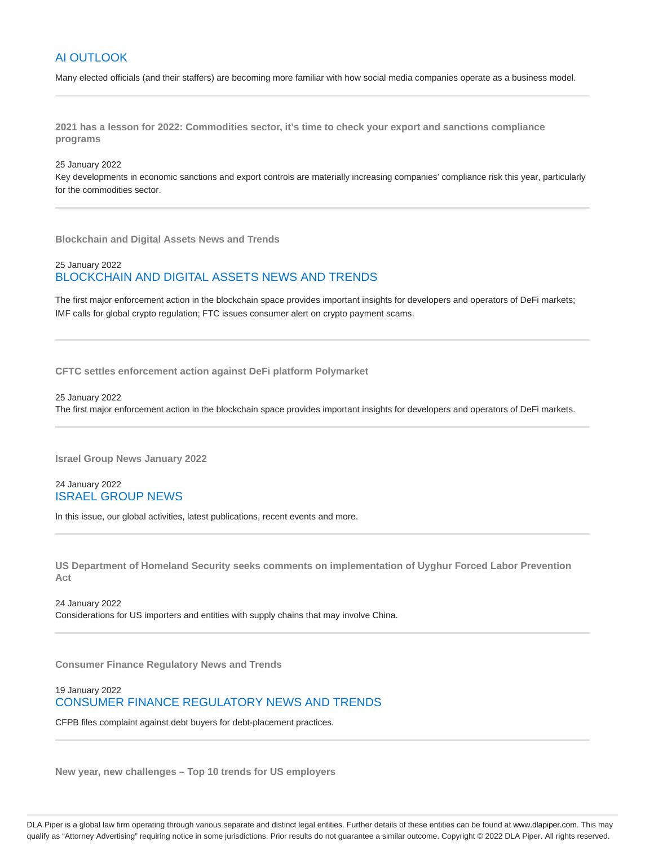### AI OUTLOOK

Many elected officials (and their staffers) are becoming more familiar with how social media companies operate as a business model.

**2021 has a lesson for 2022: Commodities sector, it's time to check your export and sanctions compliance programs**

#### 25 January 2022

Key developments in economic sanctions and export controls are materially increasing companies' compliance risk this year, particularly for the commodities sector.

**Blockchain and Digital Assets News and Trends**

### 25 January 2022 BLOCKCHAIN AND DIGITAL ASSETS NEWS AND TRENDS

The first major enforcement action in the blockchain space provides important insights for developers and operators of DeFi markets; IMF calls for global crypto regulation; FTC issues consumer alert on crypto payment scams.

**CFTC settles enforcement action against DeFi platform Polymarket**

25 January 2022

The first major enforcement action in the blockchain space provides important insights for developers and operators of DeFi markets.

**Israel Group News January 2022**

24 January 2022 ISRAEL GROUP NEWS

In this issue, our global activities, latest publications, recent events and more.

**US Department of Homeland Security seeks comments on implementation of Uyghur Forced Labor Prevention Act**

24 January 2022 Considerations for US importers and entities with supply chains that may involve China.

**Consumer Finance Regulatory News and Trends**

19 January 2022 CONSUMER FINANCE REGULATORY NEWS AND TRENDS

CFPB files complaint against debt buyers for debt-placement practices.

**New year, new challenges – Top 10 trends for US employers**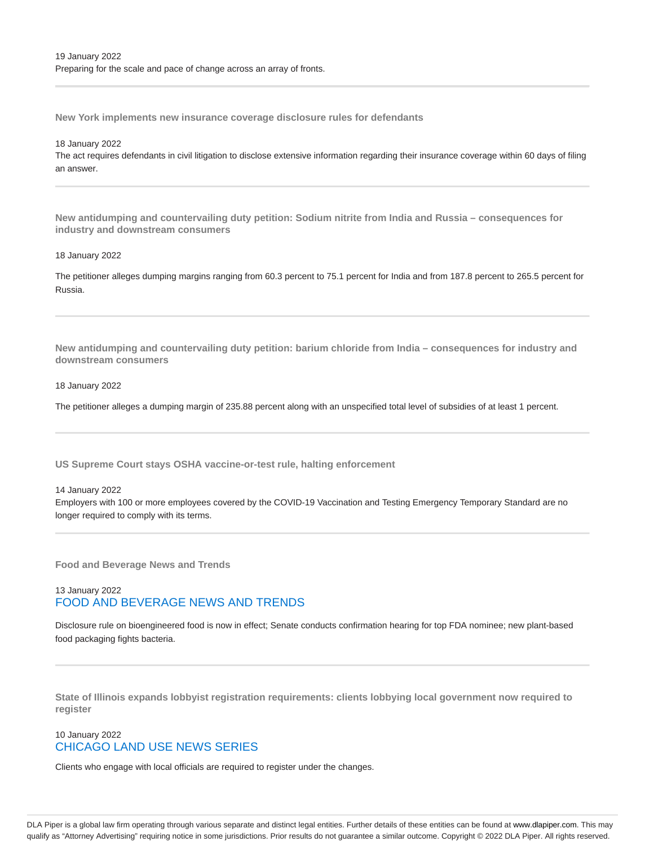**New York implements new insurance coverage disclosure rules for defendants**

18 January 2022

The act requires defendants in civil litigation to disclose extensive information regarding their insurance coverage within 60 days of filing an answer.

**New antidumping and countervailing duty petition: Sodium nitrite from India and Russia – consequences for industry and downstream consumers**

#### 18 January 2022

The petitioner alleges dumping margins ranging from 60.3 percent to 75.1 percent for India and from 187.8 percent to 265.5 percent for Russia.

**New antidumping and countervailing duty petition: barium chloride from India – consequences for industry and downstream consumers**

#### 18 January 2022

The petitioner alleges a dumping margin of 235.88 percent along with an unspecified total level of subsidies of at least 1 percent.

**US Supreme Court stays OSHA vaccine-or-test rule, halting enforcement**

#### 14 January 2022

Employers with 100 or more employees covered by the COVID-19 Vaccination and Testing Emergency Temporary Standard are no longer required to comply with its terms.

**Food and Beverage News and Trends**

### 13 January 2022 FOOD AND BEVERAGE NEWS AND TRENDS

Disclosure rule on bioengineered food is now in effect; Senate conducts confirmation hearing for top FDA nominee; new plant-based food packaging fights bacteria.

**State of Illinois expands lobbyist registration requirements: clients lobbying local government now required to register**

#### 10 January 2022 CHICAGO LAND USE NEWS SERIES

Clients who engage with local officials are required to register under the changes.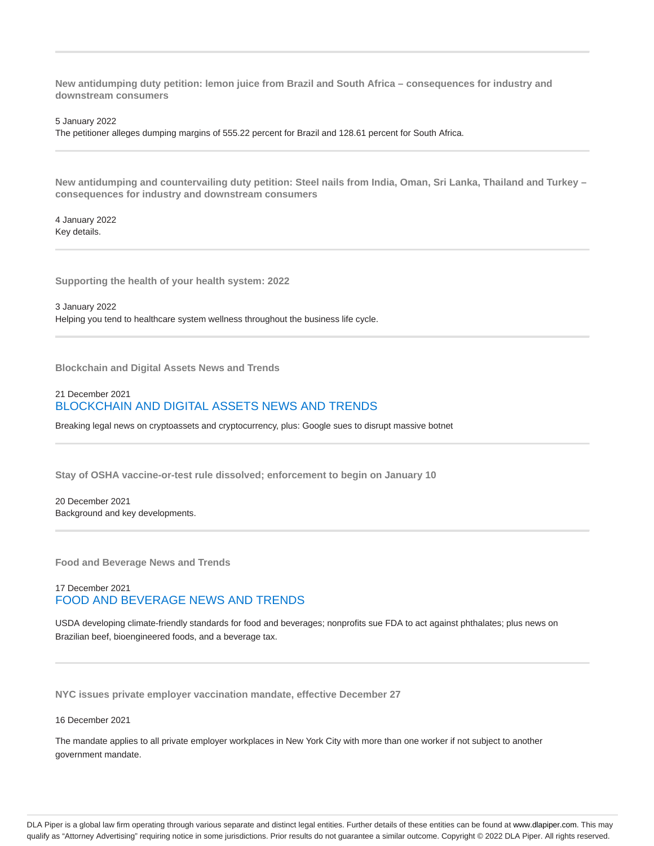**New antidumping duty petition: lemon juice from Brazil and South Africa – consequences for industry and downstream consumers**

5 January 2022

The petitioner alleges dumping margins of 555.22 percent for Brazil and 128.61 percent for South Africa.

**New antidumping and countervailing duty petition: Steel nails from India, Oman, Sri Lanka, Thailand and Turkey – consequences for industry and downstream consumers**

4 January 2022 Key details.

**Supporting the health of your health system: 2022**

3 January 2022 Helping you tend to healthcare system wellness throughout the business life cycle.

**Blockchain and Digital Assets News and Trends**

#### 21 December 2021 BLOCKCHAIN AND DIGITAL ASSETS NEWS AND TRENDS

Breaking legal news on cryptoassets and cryptocurrency, plus: Google sues to disrupt massive botnet

**Stay of OSHA vaccine-or-test rule dissolved; enforcement to begin on January 10**

20 December 2021 Background and key developments.

**Food and Beverage News and Trends**

### 17 December 2021 FOOD AND BEVERAGE NEWS AND TRENDS

USDA developing climate-friendly standards for food and beverages; nonprofits sue FDA to act against phthalates; plus news on Brazilian beef, bioengineered foods, and a beverage tax.

**NYC issues private employer vaccination mandate, effective December 27**

#### 16 December 2021

The mandate applies to all private employer workplaces in New York City with more than one worker if not subject to another government mandate.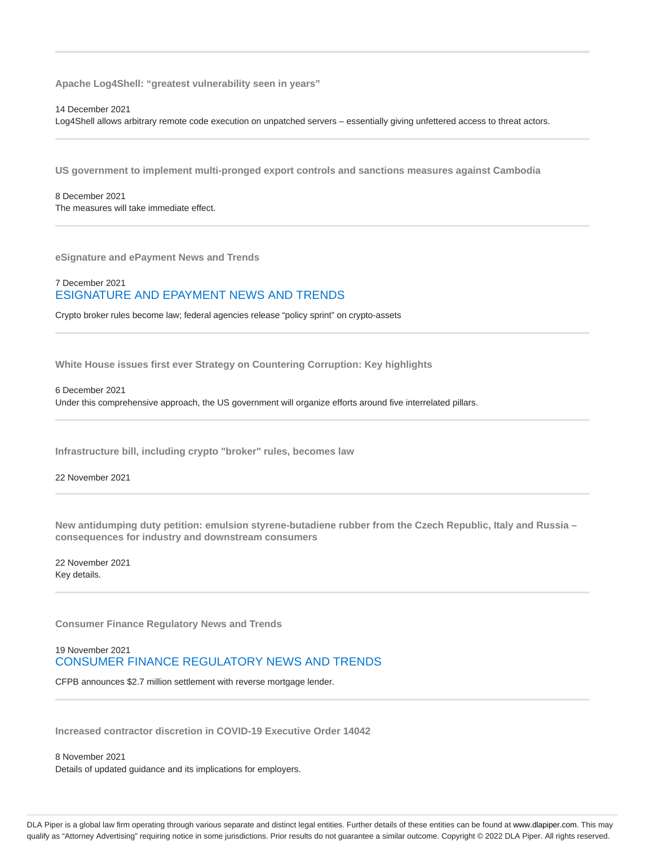**Apache Log4Shell: "greatest vulnerability seen in years"**

#### 14 December 2021

Log4Shell allows arbitrary remote code execution on unpatched servers – essentially giving unfettered access to threat actors.

**US government to implement multi-pronged export controls and sanctions measures against Cambodia**

8 December 2021 The measures will take immediate effect.

**eSignature and ePayment News and Trends**

#### 7 December 2021 ESIGNATURE AND EPAYMENT NEWS AND TRENDS

Crypto broker rules become law; federal agencies release "policy sprint" on crypto-assets

**White House issues first ever Strategy on Countering Corruption: Key highlights**

6 December 2021

Under this comprehensive approach, the US government will organize efforts around five interrelated pillars.

**Infrastructure bill, including crypto "broker" rules, becomes law**

22 November 2021

**New antidumping duty petition: emulsion styrene-butadiene rubber from the Czech Republic, Italy and Russia – consequences for industry and downstream consumers**

22 November 2021 Key details.

**Consumer Finance Regulatory News and Trends**

### 19 November 2021 CONSUMER FINANCE REGULATORY NEWS AND TRENDS

CFPB announces \$2.7 million settlement with reverse mortgage lender.

**Increased contractor discretion in COVID-19 Executive Order 14042**

8 November 2021 Details of updated guidance and its implications for employers.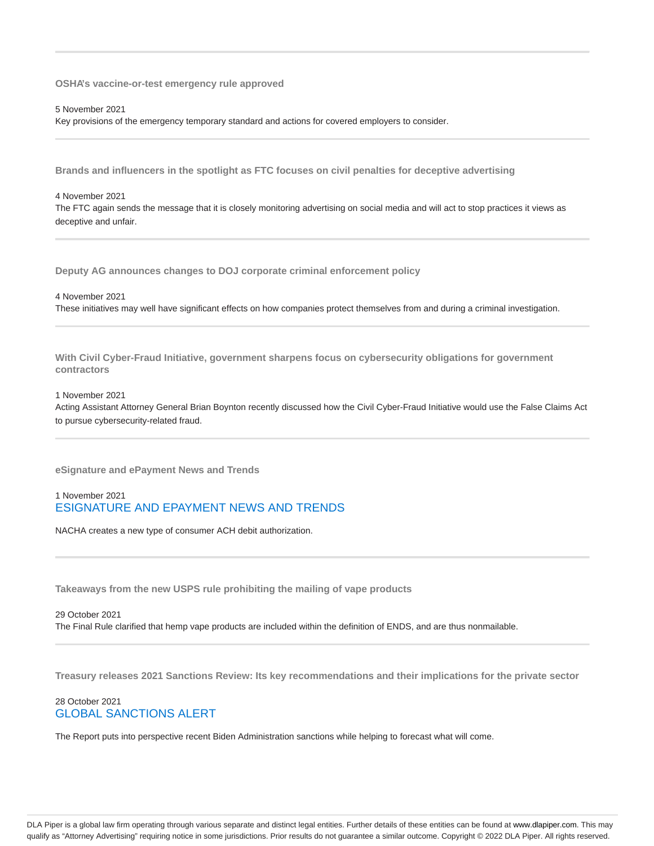**OSHA's vaccine-or-test emergency rule approved**

5 November 2021

Key provisions of the emergency temporary standard and actions for covered employers to consider.

**Brands and influencers in the spotlight as FTC focuses on civil penalties for deceptive advertising**

#### 4 November 2021

The FTC again sends the message that it is closely monitoring advertising on social media and will act to stop practices it views as deceptive and unfair.

**Deputy AG announces changes to DOJ corporate criminal enforcement policy**

4 November 2021

These initiatives may well have significant effects on how companies protect themselves from and during a criminal investigation.

**With Civil Cyber-Fraud Initiative, government sharpens focus on cybersecurity obligations for government contractors**

1 November 2021

Acting Assistant Attorney General Brian Boynton recently discussed how the Civil Cyber-Fraud Initiative would use the False Claims Act to pursue cybersecurity-related fraud.

**eSignature and ePayment News and Trends**

#### 1 November 2021 ESIGNATURE AND EPAYMENT NEWS AND TRENDS

NACHA creates a new type of consumer ACH debit authorization.

**Takeaways from the new USPS rule prohibiting the mailing of vape products**

29 October 2021 The Final Rule clarified that hemp vape products are included within the definition of ENDS, and are thus nonmailable.

**Treasury releases 2021 Sanctions Review: Its key recommendations and their implications for the private sector**

### 28 October 2021 GLOBAL SANCTIONS ALERT

The Report puts into perspective recent Biden Administration sanctions while helping to forecast what will come.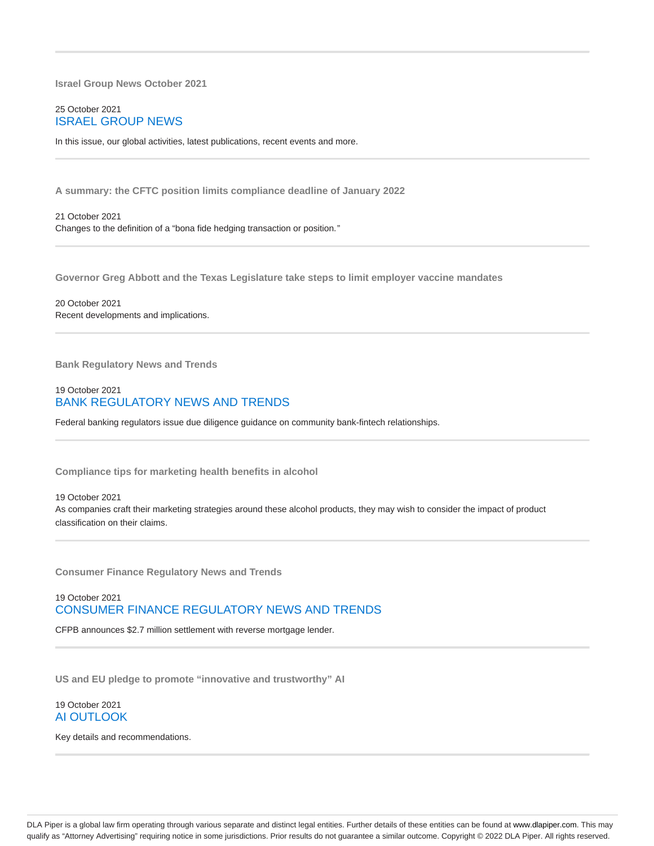**Israel Group News October 2021**

#### 25 October 2021 ISRAEL GROUP NEWS

In this issue, our global activities, latest publications, recent events and more.

**A summary: the CFTC position limits compliance deadline of January 2022**

21 October 2021 Changes to the definition of a "bona fide hedging transaction or position."

**Governor Greg Abbott and the Texas Legislature take steps to limit employer vaccine mandates**

20 October 2021 Recent developments and implications.

**Bank Regulatory News and Trends**

### 19 October 2021 BANK REGULATORY NEWS AND TRENDS

Federal banking regulators issue due diligence guidance on community bank-fintech relationships.

**Compliance tips for marketing health benefits in alcohol**

19 October 2021 As companies craft their marketing strategies around these alcohol products, they may wish to consider the impact of product classification on their claims.

**Consumer Finance Regulatory News and Trends**

### 19 October 2021 CONSUMER FINANCE REGULATORY NEWS AND TRENDS

CFPB announces \$2.7 million settlement with reverse mortgage lender.

**US and EU pledge to promote "innovative and trustworthy" AI**

#### 19 October 2021 AI OUTLOOK

Key details and recommendations.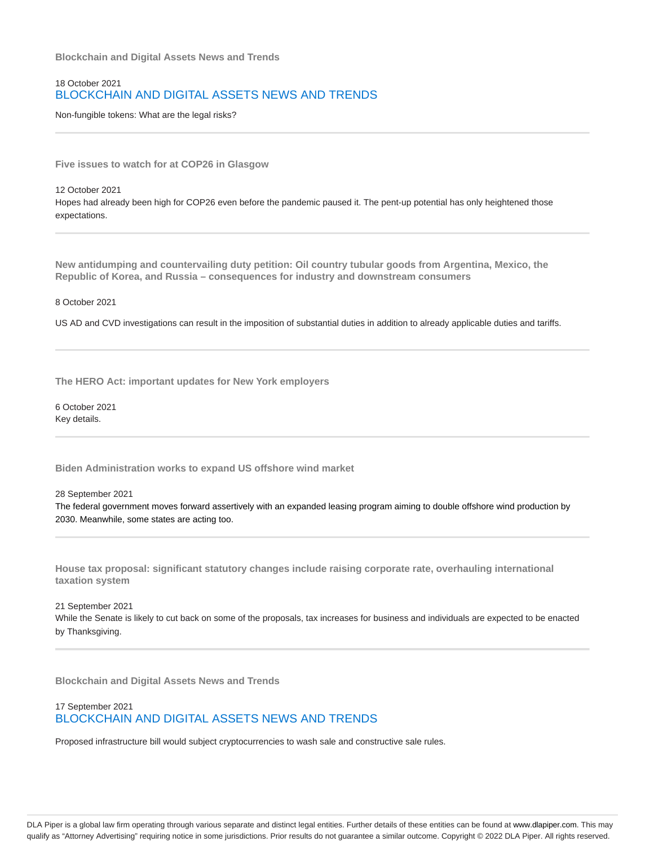**Blockchain and Digital Assets News and Trends**

### 18 October 2021 BLOCKCHAIN AND DIGITAL ASSETS NEWS AND TRENDS

Non-fungible tokens: What are the legal risks?

**Five issues to watch for at COP26 in Glasgow**

12 October 2021 Hopes had already been high for COP26 even before the pandemic paused it. The pent-up potential has only heightened those expectations.

**New antidumping and countervailing duty petition: Oil country tubular goods from Argentina, Mexico, the Republic of Korea, and Russia – consequences for industry and downstream consumers**

8 October 2021

US AD and CVD investigations can result in the imposition of substantial duties in addition to already applicable duties and tariffs.

**The HERO Act: important updates for New York employers**

6 October 2021 Key details.

**Biden Administration works to expand US offshore wind market**

28 September 2021

The federal government moves forward assertively with an expanded leasing program aiming to double offshore wind production by 2030. Meanwhile, some states are acting too.

**House tax proposal: significant statutory changes include raising corporate rate, overhauling international taxation system**

21 September 2021 While the Senate is likely to cut back on some of the proposals, tax increases for business and individuals are expected to be enacted by Thanksgiving.

**Blockchain and Digital Assets News and Trends**

#### 17 September 2021 BLOCKCHAIN AND DIGITAL ASSETS NEWS AND TRENDS

Proposed infrastructure bill would subject cryptocurrencies to wash sale and constructive sale rules.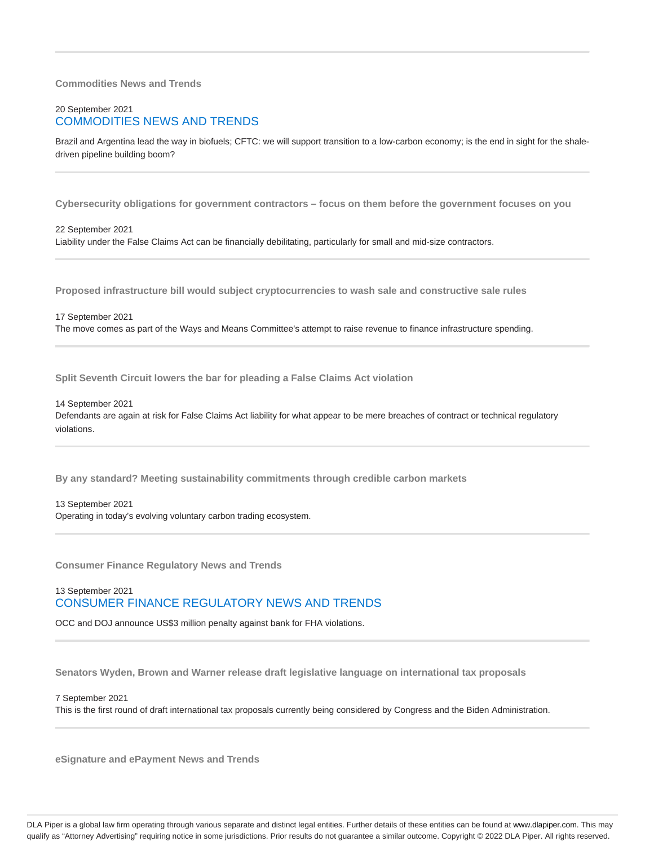#### **Commodities News and Trends**

### 20 September 2021 COMMODITIES NEWS AND TRENDS

Brazil and Argentina lead the way in biofuels; CFTC: we will support transition to a low-carbon economy; is the end in sight for the shaledriven pipeline building boom?

**Cybersecurity obligations for government contractors – focus on them before the government focuses on you**

22 September 2021 Liability under the False Claims Act can be financially debilitating, particularly for small and mid-size contractors.

**Proposed infrastructure bill would subject cryptocurrencies to wash sale and constructive sale rules**

17 September 2021

The move comes as part of the Ways and Means Committee's attempt to raise revenue to finance infrastructure spending.

**Split Seventh Circuit lowers the bar for pleading a False Claims Act violation**

14 September 2021

Defendants are again at risk for False Claims Act liability for what appear to be mere breaches of contract or technical regulatory violations.

**By any standard? Meeting sustainability commitments through credible carbon markets**

13 September 2021 Operating in today's evolving voluntary carbon trading ecosystem.

**Consumer Finance Regulatory News and Trends**

13 September 2021 CONSUMER FINANCE REGULATORY NEWS AND TRENDS

OCC and DOJ announce US\$3 million penalty against bank for FHA violations.

**Senators Wyden, Brown and Warner release draft legislative language on international tax proposals**

7 September 2021 This is the first round of draft international tax proposals currently being considered by Congress and the Biden Administration.

**eSignature and ePayment News and Trends**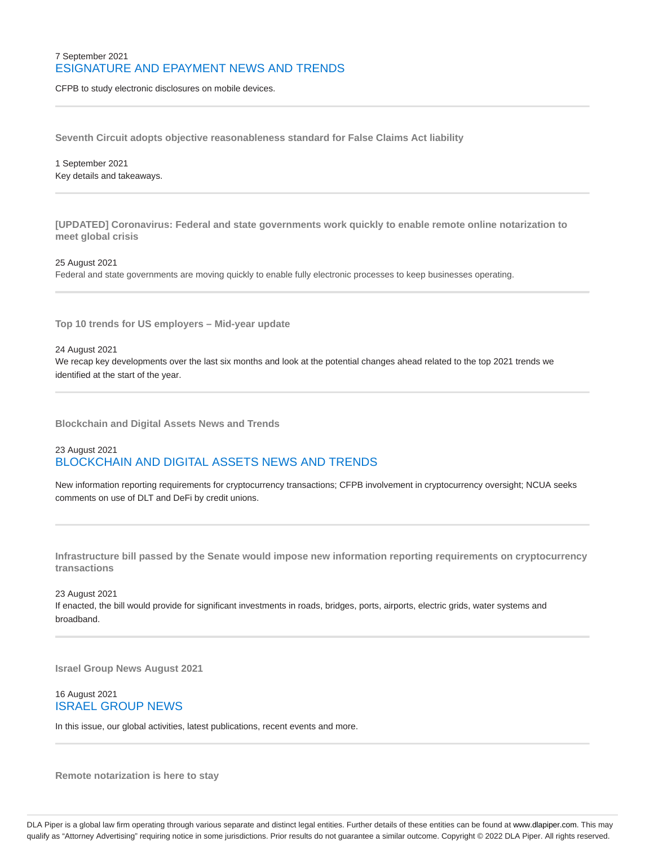### 7 September 2021 ESIGNATURE AND EPAYMENT NEWS AND TRENDS

CFPB to study electronic disclosures on mobile devices.

**Seventh Circuit adopts objective reasonableness standard for False Claims Act liability**

1 September 2021 Key details and takeaways.

**[UPDATED] Coronavirus: Federal and state governments work quickly to enable remote online notarization to meet global crisis**

25 August 2021 Federal and state governments are moving quickly to enable fully electronic processes to keep businesses operating.

**Top 10 trends for US employers – Mid-year update**

24 August 2021

We recap key developments over the last six months and look at the potential changes ahead related to the top 2021 trends we identified at the start of the year.

**Blockchain and Digital Assets News and Trends**

### 23 August 2021 BLOCKCHAIN AND DIGITAL ASSETS NEWS AND TRENDS

New information reporting requirements for cryptocurrency transactions; CFPB involvement in cryptocurrency oversight; NCUA seeks comments on use of DLT and DeFi by credit unions.

**Infrastructure bill passed by the Senate would impose new information reporting requirements on cryptocurrency transactions**

23 August 2021 If enacted, the bill would provide for significant investments in roads, bridges, ports, airports, electric grids, water systems and broadband.

**Israel Group News August 2021**

### 16 August 2021 ISRAEL GROUP NEWS

In this issue, our global activities, latest publications, recent events and more.

**Remote notarization is here to stay**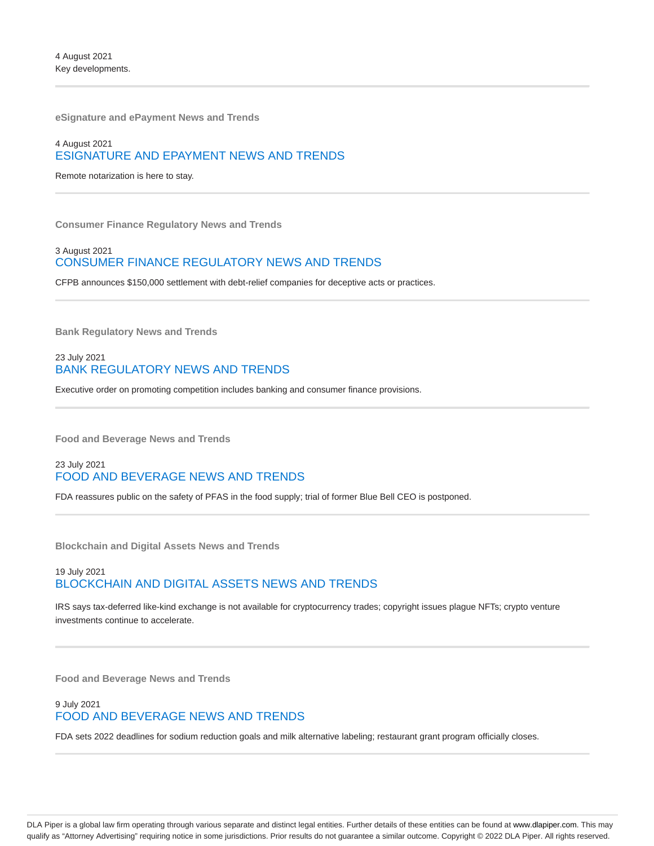**eSignature and ePayment News and Trends**

### 4 August 2021 ESIGNATURE AND EPAYMENT NEWS AND TRENDS

Remote notarization is here to stay.

**Consumer Finance Regulatory News and Trends**

#### 3 August 2021 CONSUMER FINANCE REGULATORY NEWS AND TRENDS

CFPB announces \$150,000 settlement with debt-relief companies for deceptive acts or practices.

**Bank Regulatory News and Trends**

### 23 July 2021 BANK REGULATORY NEWS AND TRENDS

Executive order on promoting competition includes banking and consumer finance provisions.

**Food and Beverage News and Trends**

### 23 July 2021 FOOD AND BEVERAGE NEWS AND TRENDS

FDA reassures public on the safety of PFAS in the food supply; trial of former Blue Bell CEO is postponed.

**Blockchain and Digital Assets News and Trends**

### 19 July 2021 BLOCKCHAIN AND DIGITAL ASSETS NEWS AND TRENDS

IRS says tax-deferred like-kind exchange is not available for cryptocurrency trades; copyright issues plague NFTs; crypto venture investments continue to accelerate.

**Food and Beverage News and Trends**

### 9 July 2021 FOOD AND BEVERAGE NEWS AND TRENDS

FDA sets 2022 deadlines for sodium reduction goals and milk alternative labeling; restaurant grant program officially closes.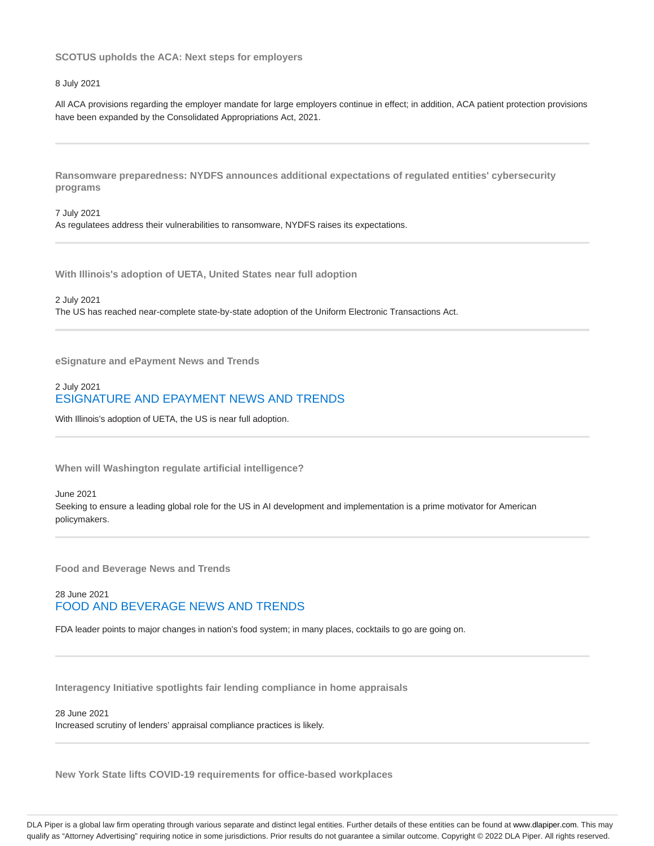**SCOTUS upholds the ACA: Next steps for employers**

#### 8 July 2021

All ACA provisions regarding the employer mandate for large employers continue in effect; in addition, ACA patient protection provisions have been expanded by the Consolidated Appropriations Act, 2021.

**Ransomware preparedness: NYDFS announces additional expectations of regulated entities' cybersecurity programs**

7 July 2021 As regulatees address their vulnerabilities to ransomware, NYDFS raises its expectations.

**With Illinois's adoption of UETA, United States near full adoption**

2 July 2021

The US has reached near-complete state-by-state adoption of the Uniform Electronic Transactions Act.

**eSignature and ePayment News and Trends**

### 2 July 2021 ESIGNATURE AND EPAYMENT NEWS AND TRENDS

With Illinois's adoption of UETA, the US is near full adoption.

**When will Washington regulate artificial intelligence?**

June 2021 Seeking to ensure a leading global role for the US in AI development and implementation is a prime motivator for American policymakers.

**Food and Beverage News and Trends**

### 28 June 2021 FOOD AND BEVERAGE NEWS AND TRENDS

FDA leader points to major changes in nation's food system; in many places, cocktails to go are going on.

**Interagency Initiative spotlights fair lending compliance in home appraisals**

#### 28 June 2021

Increased scrutiny of lenders' appraisal compliance practices is likely.

**New York State lifts COVID-19 requirements for office-based workplaces**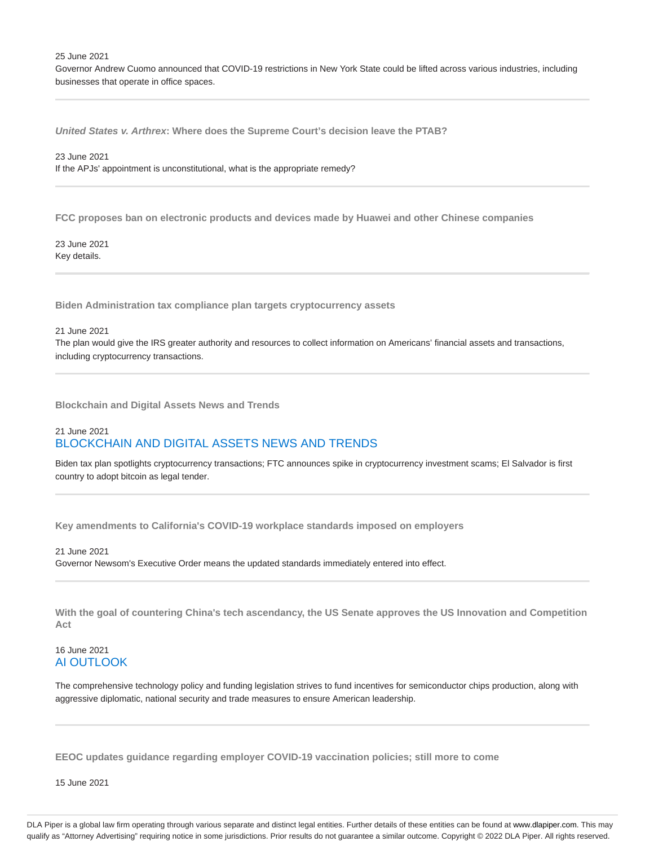25 June 2021

Governor Andrew Cuomo announced that COVID-19 restrictions in New York State could be lifted across various industries, including businesses that operate in office spaces.

**United States v. Arthrex: Where does the Supreme Court's decision leave the PTAB?**

23 June 2021 If the APJs' appointment is unconstitutional, what is the appropriate remedy?

**FCC proposes ban on electronic products and devices made by Huawei and other Chinese companies**

23 June 2021 Key details.

**Biden Administration tax compliance plan targets cryptocurrency assets**

21 June 2021

The plan would give the IRS greater authority and resources to collect information on Americans' financial assets and transactions, including cryptocurrency transactions.

**Blockchain and Digital Assets News and Trends**

### 21 June 2021 BLOCKCHAIN AND DIGITAL ASSETS NEWS AND TRENDS

Biden tax plan spotlights cryptocurrency transactions; FTC announces spike in cryptocurrency investment scams; El Salvador is first country to adopt bitcoin as legal tender.

**Key amendments to California's COVID-19 workplace standards imposed on employers**

21 June 2021 Governor Newsom's Executive Order means the updated standards immediately entered into effect.

**With the goal of countering China's tech ascendancy, the US Senate approves the US Innovation and Competition Act**

#### 16 June 2021 AI OUTLOOK

The comprehensive technology policy and funding legislation strives to fund incentives for semiconductor chips production, along with aggressive diplomatic, national security and trade measures to ensure American leadership.

**EEOC updates guidance regarding employer COVID-19 vaccination policies; still more to come**

15 June 2021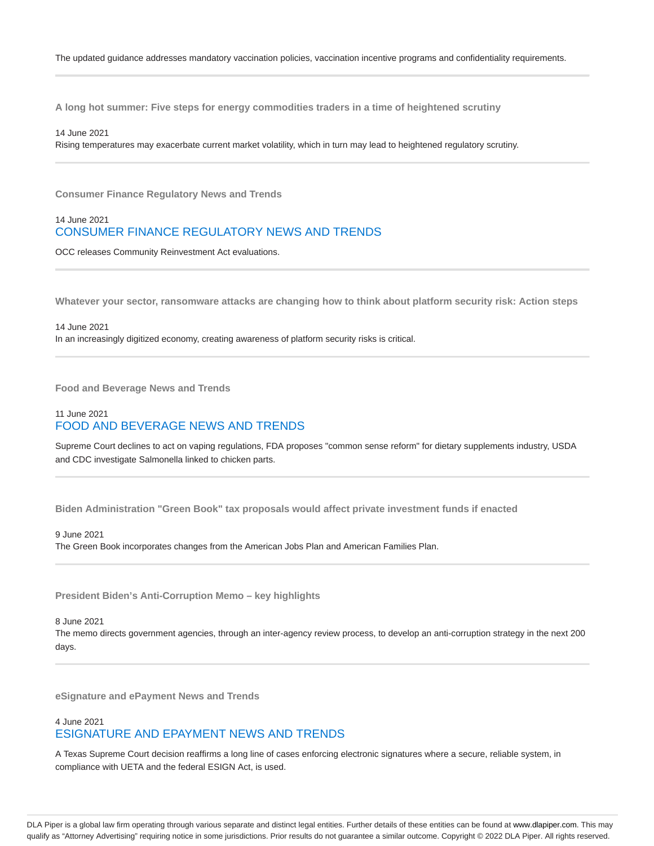**A long hot summer: Five steps for energy commodities traders in a time of heightened scrutiny**

14 June 2021

Rising temperatures may exacerbate current market volatility, which in turn may lead to heightened regulatory scrutiny.

**Consumer Finance Regulatory News and Trends**

### 14 June 2021 CONSUMER FINANCE REGULATORY NEWS AND TRENDS

OCC releases Community Reinvestment Act evaluations.

**Whatever your sector, ransomware attacks are changing how to think about platform security risk: Action steps**

14 June 2021 In an increasingly digitized economy, creating awareness of platform security risks is critical.

**Food and Beverage News and Trends**

#### 11 June 2021 FOOD AND BEVERAGE NEWS AND TRENDS

Supreme Court declines to act on vaping regulations, FDA proposes "common sense reform" for dietary supplements industry, USDA and CDC investigate Salmonella linked to chicken parts.

**Biden Administration "Green Book" tax proposals would affect private investment funds if enacted**

### 9 June 2021

The Green Book incorporates changes from the American Jobs Plan and American Families Plan.

**President Biden's Anti-Corruption Memo – key highlights**

8 June 2021

The memo directs government agencies, through an inter-agency review process, to develop an anti-corruption strategy in the next 200 days.

**eSignature and ePayment News and Trends**

#### 4 June 2021 ESIGNATURE AND EPAYMENT NEWS AND TRENDS

A Texas Supreme Court decision reaffirms a long line of cases enforcing electronic signatures where a secure, reliable system, in compliance with UETA and the federal ESIGN Act, is used.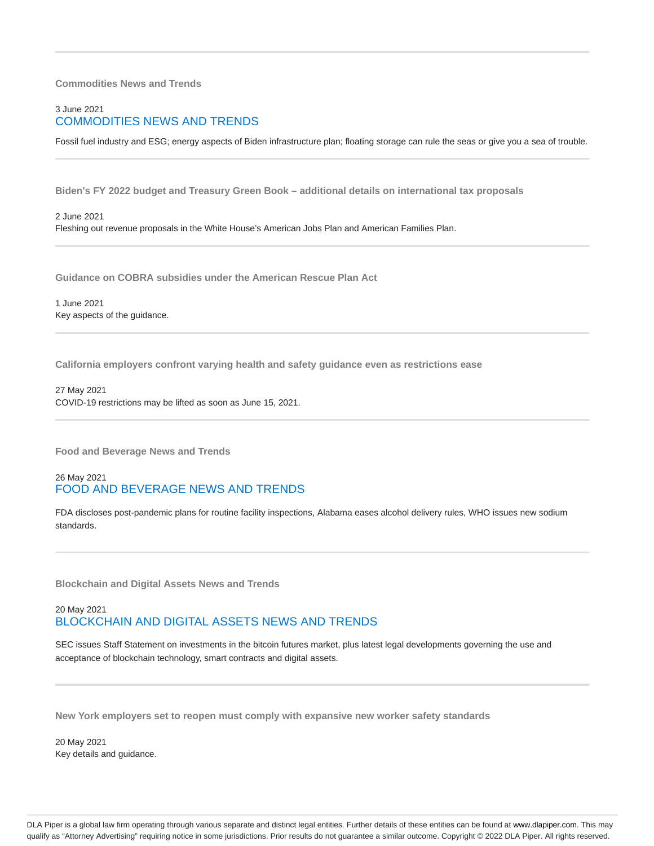#### **Commodities News and Trends**

### 3 June 2021 COMMODITIES NEWS AND TRENDS

Fossil fuel industry and ESG; energy aspects of Biden infrastructure plan; floating storage can rule the seas or give you a sea of trouble.

**Biden's FY 2022 budget and Treasury Green Book – additional details on international tax proposals**

2 June 2021 Fleshing out revenue proposals in the White House's American Jobs Plan and American Families Plan.

**Guidance on COBRA subsidies under the American Rescue Plan Act**

1 June 2021 Key aspects of the guidance.

**California employers confront varying health and safety guidance even as restrictions ease**

27 May 2021 COVID-19 restrictions may be lifted as soon as June 15, 2021.

**Food and Beverage News and Trends**

### 26 May 2021 FOOD AND BEVERAGE NEWS AND TRENDS

FDA discloses post-pandemic plans for routine facility inspections, Alabama eases alcohol delivery rules, WHO issues new sodium standards.

**Blockchain and Digital Assets News and Trends**

### 20 May 2021 BLOCKCHAIN AND DIGITAL ASSETS NEWS AND TRENDS

SEC issues Staff Statement on investments in the bitcoin futures market, plus latest legal developments governing the use and acceptance of blockchain technology, smart contracts and digital assets.

**New York employers set to reopen must comply with expansive new worker safety standards**

20 May 2021 Key details and guidance.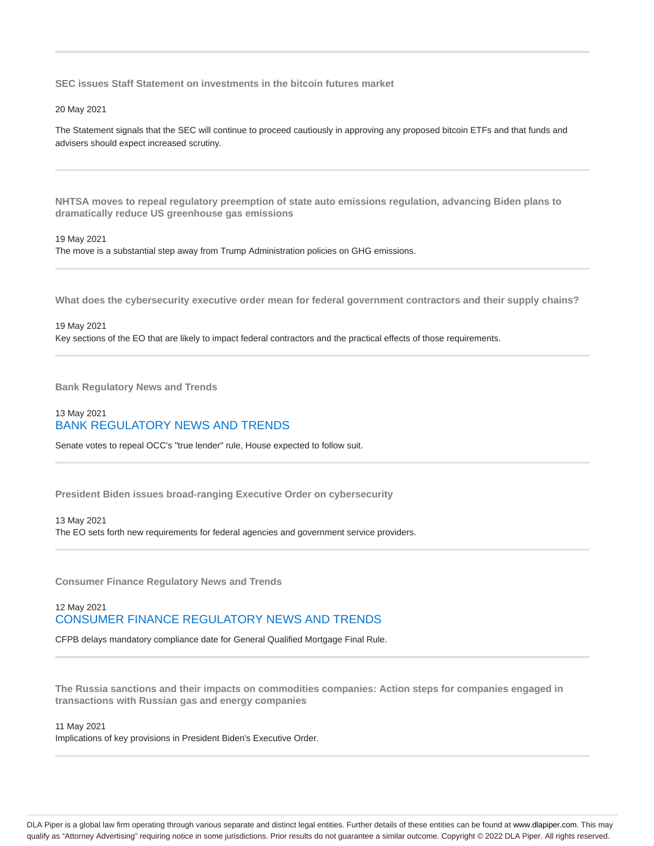**SEC issues Staff Statement on investments in the bitcoin futures market**

20 May 2021

The Statement signals that the SEC will continue to proceed cautiously in approving any proposed bitcoin ETFs and that funds and advisers should expect increased scrutiny.

**NHTSA moves to repeal regulatory preemption of state auto emissions regulation, advancing Biden plans to dramatically reduce US greenhouse gas emissions**

#### 19 May 2021

The move is a substantial step away from Trump Administration policies on GHG emissions.

**What does the cybersecurity executive order mean for federal government contractors and their supply chains?**

19 May 2021 Key sections of the EO that are likely to impact federal contractors and the practical effects of those requirements.

**Bank Regulatory News and Trends**

### 13 May 2021 BANK REGULATORY NEWS AND TRENDS

Senate votes to repeal OCC's "true lender" rule, House expected to follow suit.

**President Biden issues broad-ranging Executive Order on cybersecurity**

#### 13 May 2021

The EO sets forth new requirements for federal agencies and government service providers.

**Consumer Finance Regulatory News and Trends**

### 12 May 2021 CONSUMER FINANCE REGULATORY NEWS AND TRENDS

CFPB delays mandatory compliance date for General Qualified Mortgage Final Rule.

**The Russia sanctions and their impacts on commodities companies: Action steps for companies engaged in transactions with Russian gas and energy companies**

#### 11 May 2021

Implications of key provisions in President Biden's Executive Order.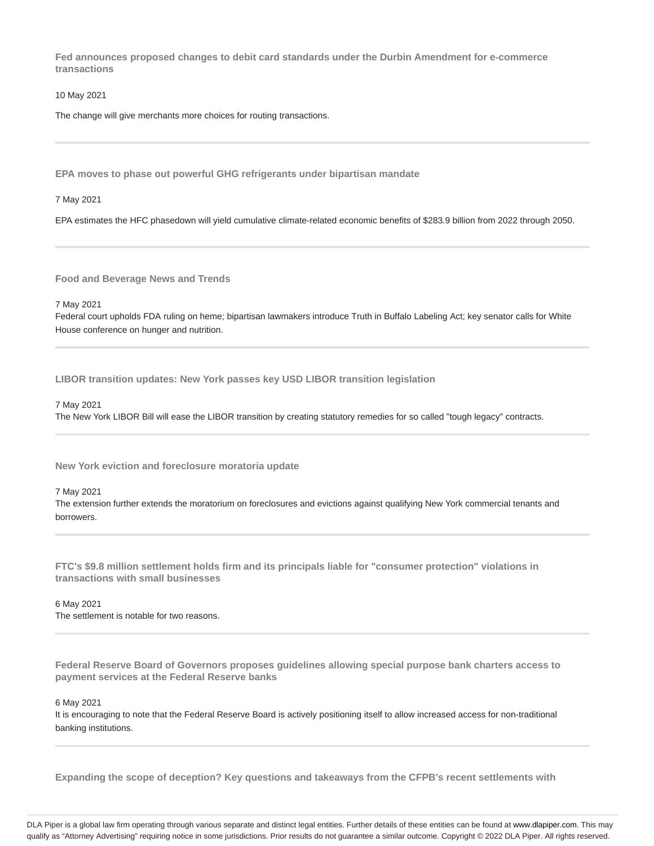**Fed announces proposed changes to debit card standards under the Durbin Amendment for e-commerce transactions**

10 May 2021

The change will give merchants more choices for routing transactions.

**EPA moves to phase out powerful GHG refrigerants under bipartisan mandate**

7 May 2021

EPA estimates the HFC phasedown will yield cumulative climate-related economic benefits of \$283.9 billion from 2022 through 2050.

**Food and Beverage News and Trends**

7 May 2021

Federal court upholds FDA ruling on heme; bipartisan lawmakers introduce Truth in Buffalo Labeling Act; key senator calls for White House conference on hunger and nutrition.

**LIBOR transition updates: New York passes key USD LIBOR transition legislation**

#### 7 May 2021

The New York LIBOR Bill will ease the LIBOR transition by creating statutory remedies for so called "tough legacy" contracts.

**New York eviction and foreclosure moratoria update**

#### 7 May 2021

The extension further extends the moratorium on foreclosures and evictions against qualifying New York commercial tenants and borrowers.

**FTC's \$9.8 million settlement holds firm and its principals liable for "consumer protection" violations in transactions with small businesses**

# 6 May 2021

The settlement is notable for two reasons.

**Federal Reserve Board of Governors proposes guidelines allowing special purpose bank charters access to payment services at the Federal Reserve banks**

6 May 2021

It is encouraging to note that the Federal Reserve Board is actively positioning itself to allow increased access for non-traditional banking institutions.

**Expanding the scope of deception? Key questions and takeaways from the CFPB's recent settlements with**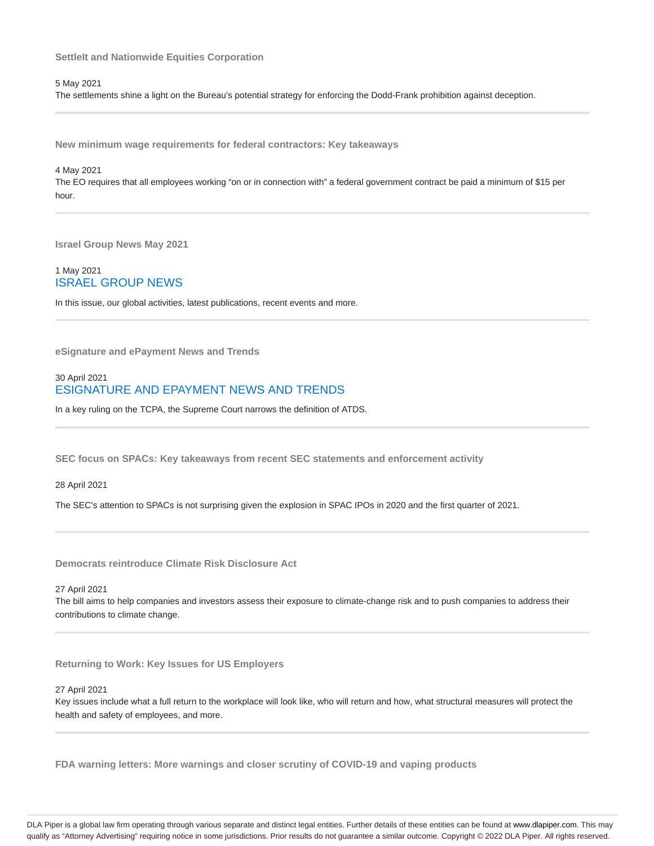**SettleIt and Nationwide Equities Corporation**

5 May 2021

The settlements shine a light on the Bureau's potential strategy for enforcing the Dodd-Frank prohibition against deception.

**New minimum wage requirements for federal contractors: Key takeaways**

4 May 2021 The EO requires that all employees working "on or in connection with" a federal government contract be paid a minimum of \$15 per hour.

**Israel Group News May 2021**

1 May 2021 ISRAEL GROUP NEWS

In this issue, our global activities, latest publications, recent events and more.

**eSignature and ePayment News and Trends**

#### 30 April 2021 ESIGNATURE AND EPAYMENT NEWS AND TRENDS

In a key ruling on the TCPA, the Supreme Court narrows the definition of ATDS.

**SEC focus on SPACs: Key takeaways from recent SEC statements and enforcement activity**

28 April 2021

The SEC's attention to SPACs is not surprising given the explosion in SPAC IPOs in 2020 and the first quarter of 2021.

**Democrats reintroduce Climate Risk Disclosure Act**

27 April 2021

The bill aims to help companies and investors assess their exposure to climate-change risk and to push companies to address their contributions to climate change.

**Returning to Work: Key Issues for US Employers**

27 April 2021

Key issues include what a full return to the workplace will look like, who will return and how, what structural measures will protect the health and safety of employees, and more.

**FDA warning letters: More warnings and closer scrutiny of COVID-19 and vaping products**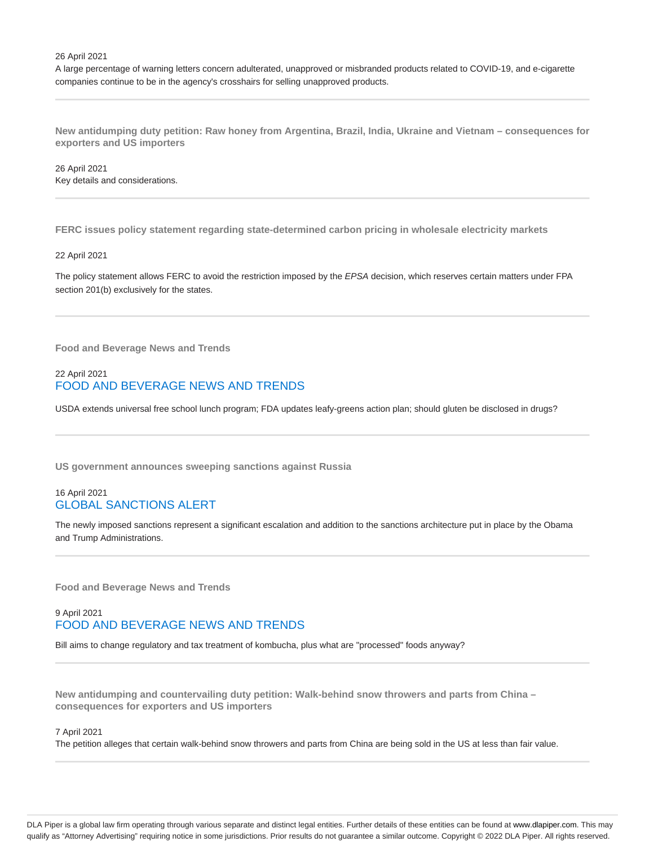26 April 2021

A large percentage of warning letters concern adulterated, unapproved or misbranded products related to COVID-19, and e-cigarette companies continue to be in the agency's crosshairs for selling unapproved products.

**New antidumping duty petition: Raw honey from Argentina, Brazil, India, Ukraine and Vietnam – consequences for exporters and US importers**

26 April 2021 Key details and considerations.

**FERC issues policy statement regarding state-determined carbon pricing in wholesale electricity markets**

#### 22 April 2021

The policy statement allows FERC to avoid the restriction imposed by the EPSA decision, which reserves certain matters under FPA section 201(b) exclusively for the states.

**Food and Beverage News and Trends**

### 22 April 2021 FOOD AND BEVERAGE NEWS AND TRENDS

USDA extends universal free school lunch program; FDA updates leafy-greens action plan; should gluten be disclosed in drugs?

**US government announces sweeping sanctions against Russia**

#### 16 April 2021 GLOBAL SANCTIONS ALERT

The newly imposed sanctions represent a significant escalation and addition to the sanctions architecture put in place by the Obama and Trump Administrations.

**Food and Beverage News and Trends**

### 9 April 2021 FOOD AND BEVERAGE NEWS AND TRENDS

Bill aims to change regulatory and tax treatment of kombucha, plus what are "processed" foods anyway?

**New antidumping and countervailing duty petition: Walk-behind snow throwers and parts from China – consequences for exporters and US importers**

#### 7 April 2021

The petition alleges that certain walk-behind snow throwers and parts from China are being sold in the US at less than fair value.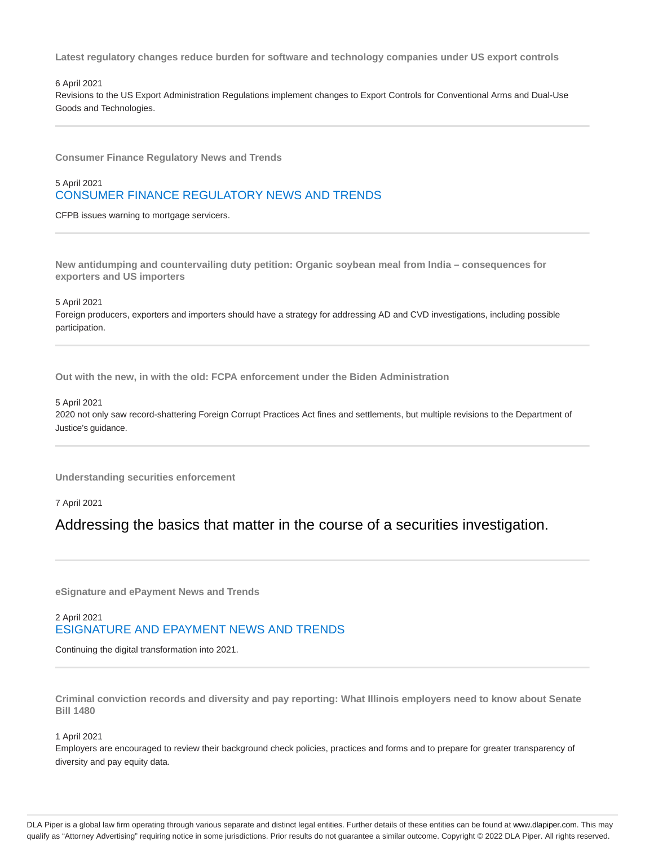**Latest regulatory changes reduce burden for software and technology companies under US export controls**

#### 6 April 2021

Revisions to the US Export Administration Regulations implement changes to Export Controls for Conventional Arms and Dual-Use Goods and Technologies.

**Consumer Finance Regulatory News and Trends**

### 5 April 2021 CONSUMER FINANCE REGULATORY NEWS AND TRENDS

CFPB issues warning to mortgage servicers.

**New antidumping and countervailing duty petition: Organic soybean meal from India – consequences for exporters and US importers**

5 April 2021

Foreign producers, exporters and importers should have a strategy for addressing AD and CVD investigations, including possible participation.

**Out with the new, in with the old: FCPA enforcement under the Biden Administration**

#### 5 April 2021

2020 not only saw record-shattering Foreign Corrupt Practices Act fines and settlements, but multiple revisions to the Department of Justice's guidance.

**Understanding securities enforcement**

7 April 2021

Addressing the basics that matter in the course of a securities investigation.

**eSignature and ePayment News and Trends**

### 2 April 2021 ESIGNATURE AND EPAYMENT NEWS AND TRENDS

Continuing the digital transformation into 2021.

**Criminal conviction records and diversity and pay reporting: What Illinois employers need to know about Senate Bill 1480**

#### 1 April 2021

Employers are encouraged to review their background check policies, practices and forms and to prepare for greater transparency of diversity and pay equity data.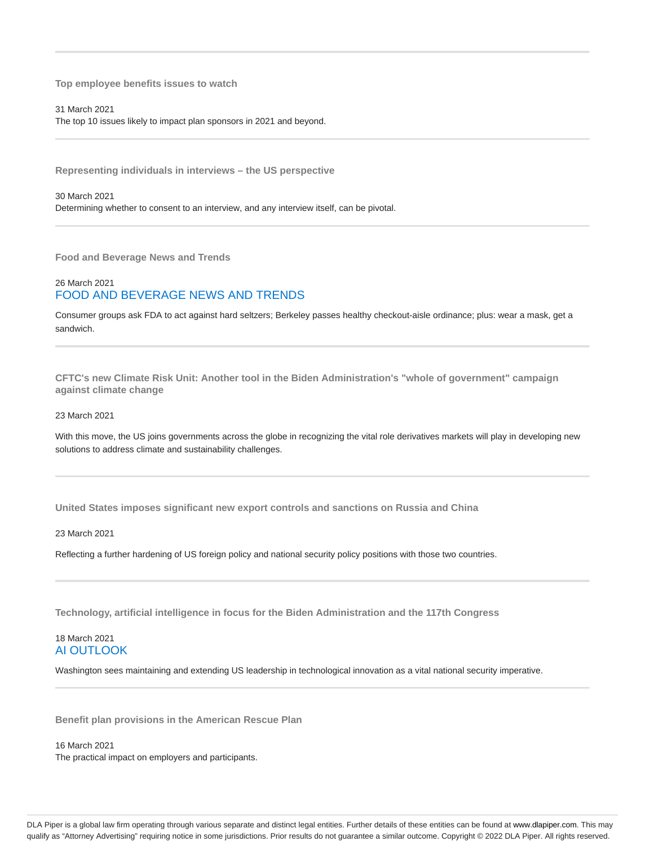**Top employee benefits issues to watch**

31 March 2021 The top 10 issues likely to impact plan sponsors in 2021 and beyond.

**Representing individuals in interviews – the US perspective**

30 March 2021

Determining whether to consent to an interview, and any interview itself, can be pivotal.

**Food and Beverage News and Trends**

## 26 March 2021 FOOD AND BEVERAGE NEWS AND TRENDS

Consumer groups ask FDA to act against hard seltzers; Berkeley passes healthy checkout-aisle ordinance; plus: wear a mask, get a sandwich.

**CFTC's new Climate Risk Unit: Another tool in the Biden Administration's "whole of government" campaign against climate change**

23 March 2021

With this move, the US joins governments across the globe in recognizing the vital role derivatives markets will play in developing new solutions to address climate and sustainability challenges.

**United States imposes significant new export controls and sanctions on Russia and China**

23 March 2021

Reflecting a further hardening of US foreign policy and national security policy positions with those two countries.

**Technology, artificial intelligence in focus for the Biden Administration and the 117th Congress**

#### 18 March 2021 AI OUTLOOK

Washington sees maintaining and extending US leadership in technological innovation as a vital national security imperative.

**Benefit plan provisions in the American Rescue Plan**

16 March 2021 The practical impact on employers and participants.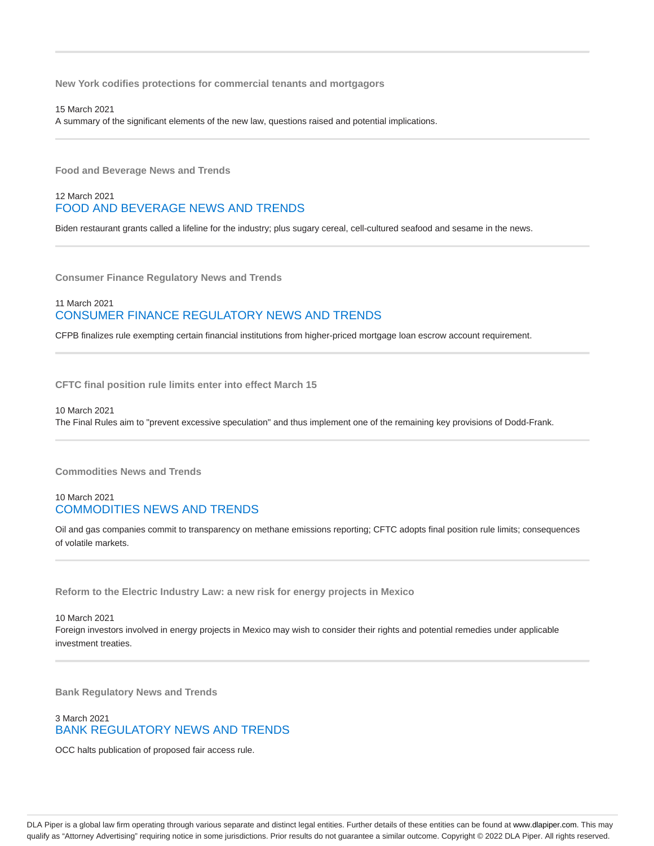**New York codifies protections for commercial tenants and mortgagors**

15 March 2021 A summary of the significant elements of the new law, questions raised and potential implications.

**Food and Beverage News and Trends**

### 12 March 2021 FOOD AND BEVERAGE NEWS AND TRENDS

Biden restaurant grants called a lifeline for the industry; plus sugary cereal, cell-cultured seafood and sesame in the news.

**Consumer Finance Regulatory News and Trends**

### 11 March 2021 CONSUMER FINANCE REGULATORY NEWS AND TRENDS

CFPB finalizes rule exempting certain financial institutions from higher-priced mortgage loan escrow account requirement.

**CFTC final position rule limits enter into effect March 15**

10 March 2021 The Final Rules aim to "prevent excessive speculation" and thus implement one of the remaining key provisions of Dodd-Frank.

**Commodities News and Trends**

### 10 March 2021 COMMODITIES NEWS AND TRENDS

Oil and gas companies commit to transparency on methane emissions reporting; CFTC adopts final position rule limits; consequences of volatile markets.

**Reform to the Electric Industry Law: a new risk for energy projects in Mexico**

10 March 2021 Foreign investors involved in energy projects in Mexico may wish to consider their rights and potential remedies under applicable investment treaties.

**Bank Regulatory News and Trends**

### 3 March 2021 BANK REGULATORY NEWS AND TRENDS

OCC halts publication of proposed fair access rule.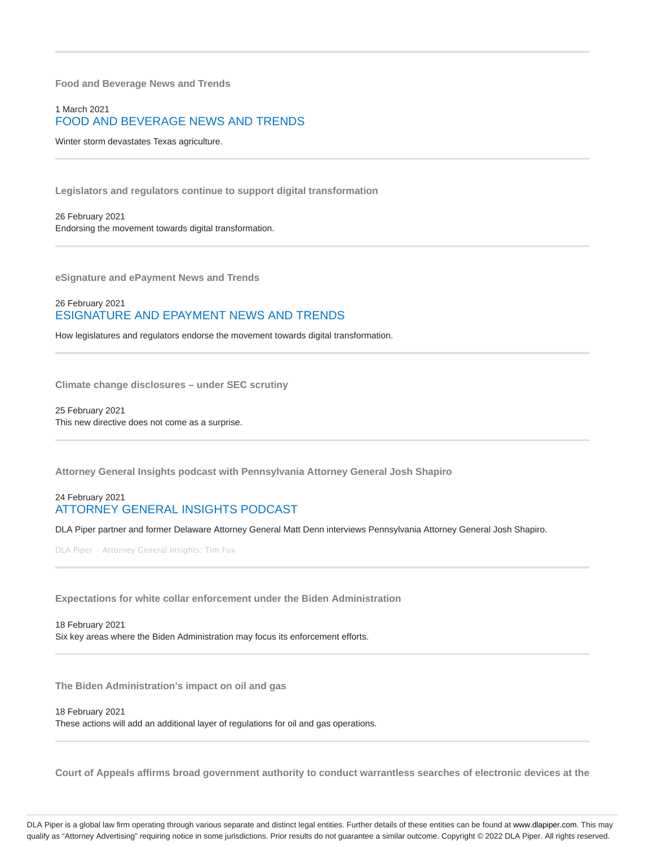**Food and Beverage News and Trends**

### 1 March 2021 FOOD AND BEVERAGE NEWS AND TRENDS

Winter storm devastates Texas agriculture.

**Legislators and regulators continue to support digital transformation**

26 February 2021 Endorsing the movement towards digital transformation.

**eSignature and ePayment News and Trends**

#### 26 February 2021 ESIGNATURE AND EPAYMENT NEWS AND TRENDS

How legislatures and regulators endorse the movement towards digital transformation.

**Climate change disclosures – under SEC scrutiny**

25 February 2021 This new directive does not come as a surprise.

**Attorney General Insights podcast with Pennsylvania Attorney General Josh Shapiro**

#### 24 February 2021 ATTORNEY GENERAL INSIGHTS PODCAST

DLA Piper partner and former Delaware Attorney General Matt Denn interviews Pennsylvania Attorney General Josh Shapiro.

DLA Piper · Attorney General Insights: Tim Fox

**Expectations for white collar enforcement under the Biden Administration**

18 February 2021 Six key areas where the Biden Administration may focus its enforcement efforts.

**The Biden Administration's impact on oil and gas**

18 February 2021

These actions will add an additional layer of regulations for oil and gas operations.

**Court of Appeals affirms broad government authority to conduct warrantless searches of electronic devices at the**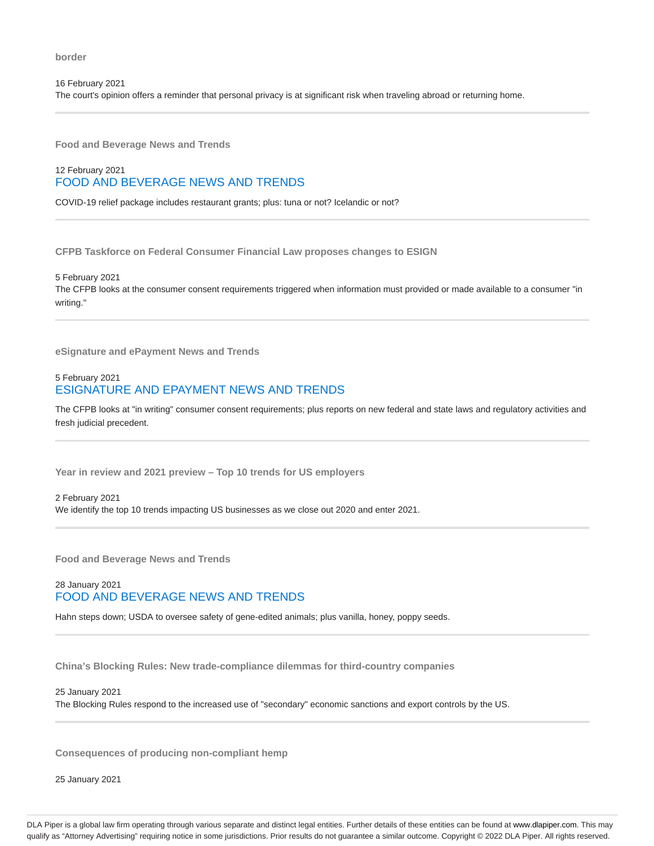16 February 2021 The court's opinion offers a reminder that personal privacy is at significant risk when traveling abroad or returning home.

**Food and Beverage News and Trends**

### 12 February 2021 FOOD AND BEVERAGE NEWS AND TRENDS

COVID-19 relief package includes restaurant grants; plus: tuna or not? Icelandic or not?

**CFPB Taskforce on Federal Consumer Financial Law proposes changes to ESIGN**

5 February 2021 The CFPB looks at the consumer consent requirements triggered when information must provided or made available to a consumer "in writing."

**eSignature and ePayment News and Trends**

#### 5 February 2021 ESIGNATURE AND EPAYMENT NEWS AND TRENDS

The CFPB looks at "in writing" consumer consent requirements; plus reports on new federal and state laws and regulatory activities and fresh judicial precedent.

**Year in review and 2021 preview – Top 10 trends for US employers**

2 February 2021 We identify the top 10 trends impacting US businesses as we close out 2020 and enter 2021.

**Food and Beverage News and Trends**

### 28 January 2021 FOOD AND BEVERAGE NEWS AND TRENDS

Hahn steps down; USDA to oversee safety of gene-edited animals; plus vanilla, honey, poppy seeds.

**China's Blocking Rules: New trade-compliance dilemmas for third-country companies**

25 January 2021

The Blocking Rules respond to the increased use of "secondary" economic sanctions and export controls by the US.

**Consequences of producing non-compliant hemp**

25 January 2021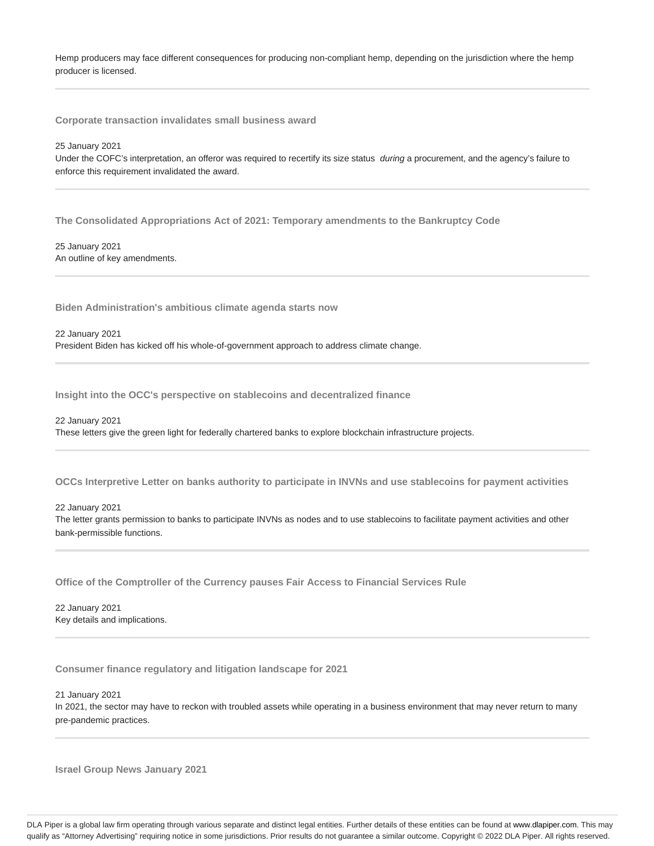Hemp producers may face different consequences for producing non-compliant hemp, depending on the jurisdiction where the hemp producer is licensed.

**Corporate transaction invalidates small business award**

25 January 2021

Under the COFC's interpretation, an offeror was required to recertify its size status during a procurement, and the agency's failure to enforce this requirement invalidated the award.

**The Consolidated Appropriations Act of 2021: Temporary amendments to the Bankruptcy Code**

25 January 2021 An outline of key amendments.

**Biden Administration's ambitious climate agenda starts now**

22 January 2021 President Biden has kicked off his whole-of-government approach to address climate change.

**Insight into the OCC's perspective on stablecoins and decentralized finance**

22 January 2021 These letters give the green light for federally chartered banks to explore blockchain infrastructure projects.

**OCCs Interpretive Letter on banks authority to participate in INVNs and use stablecoins for payment activities**

22 January 2021 The letter grants permission to banks to participate INVNs as nodes and to use stablecoins to facilitate payment activities and other bank-permissible functions.

**Office of the Comptroller of the Currency pauses Fair Access to Financial Services Rule**

22 January 2021 Key details and implications.

**Consumer finance regulatory and litigation landscape for 2021**

21 January 2021 In 2021, the sector may have to reckon with troubled assets while operating in a business environment that may never return to many pre-pandemic practices.

**Israel Group News January 2021**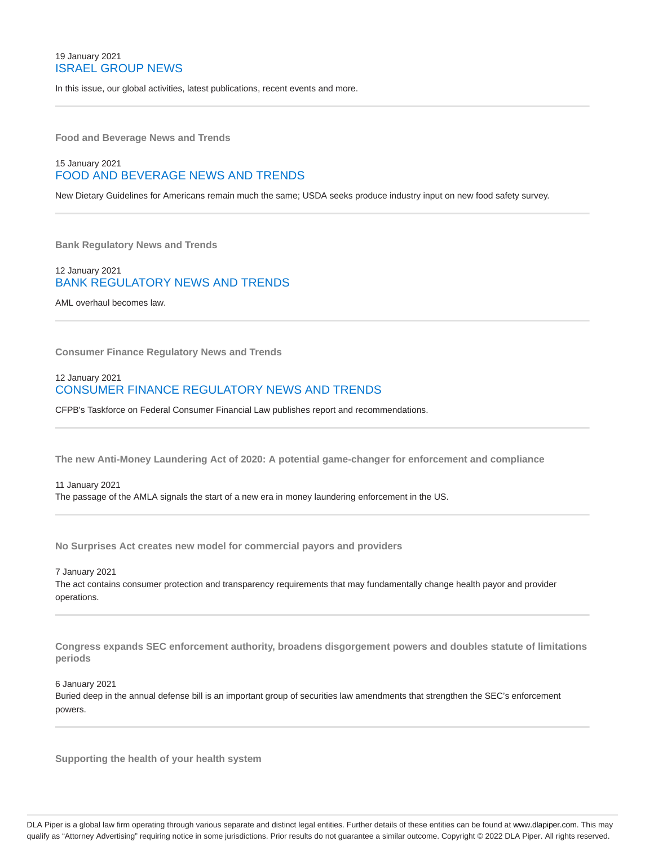### 19 January 2021 ISRAEL GROUP NEWS

In this issue, our global activities, latest publications, recent events and more.

**Food and Beverage News and Trends**

### 15 January 2021 FOOD AND BEVERAGE NEWS AND TRENDS

New Dietary Guidelines for Americans remain much the same; USDA seeks produce industry input on new food safety survey.

**Bank Regulatory News and Trends**

#### 12 January 2021 BANK REGULATORY NEWS AND TRENDS

AML overhaul becomes law.

**Consumer Finance Regulatory News and Trends**

#### 12 January 2021 CONSUMER FINANCE REGULATORY NEWS AND TRENDS

CFPB's Taskforce on Federal Consumer Financial Law publishes report and recommendations.

**The new Anti-Money Laundering Act of 2020: A potential game-changer for enforcement and compliance**

#### 11 January 2021 The passage of the AMLA signals the start of a new era in money laundering enforcement in the US.

**No Surprises Act creates new model for commercial payors and providers**

7 January 2021

The act contains consumer protection and transparency requirements that may fundamentally change health payor and provider operations.

**Congress expands SEC enforcement authority, broadens disgorgement powers and doubles statute of limitations periods**

6 January 2021

Buried deep in the annual defense bill is an important group of securities law amendments that strengthen the SEC's enforcement powers.

**Supporting the health of your health system**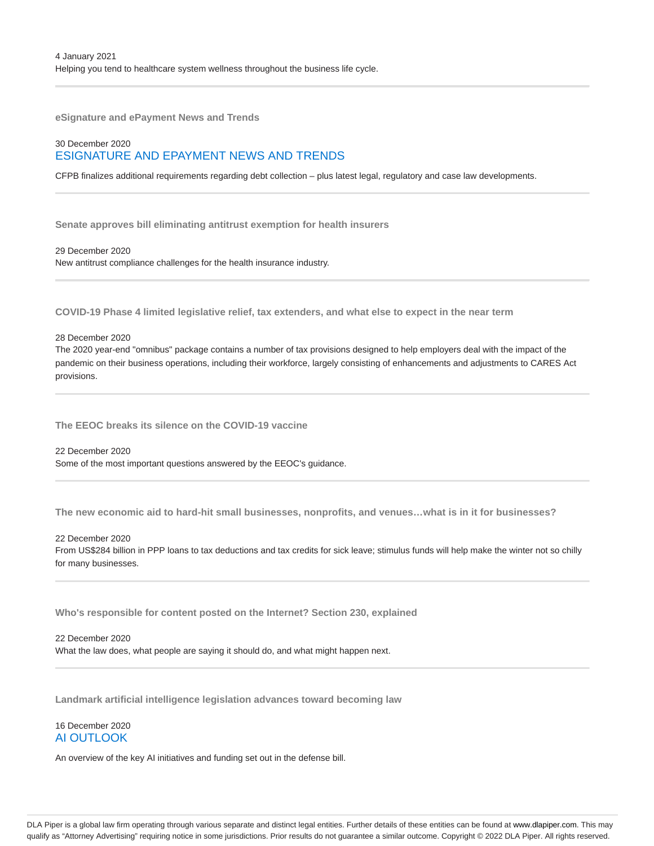**eSignature and ePayment News and Trends**

### 30 December 2020 ESIGNATURE AND EPAYMENT NEWS AND TRENDS

CFPB finalizes additional requirements regarding debt collection – plus latest legal, regulatory and case law developments.

**Senate approves bill eliminating antitrust exemption for health insurers**

29 December 2020 New antitrust compliance challenges for the health insurance industry.

**COVID-19 Phase 4 limited legislative relief, tax extenders, and what else to expect in the near term**

28 December 2020

The 2020 year-end "omnibus" package contains a number of tax provisions designed to help employers deal with the impact of the pandemic on their business operations, including their workforce, largely consisting of enhancements and adjustments to CARES Act provisions.

**The EEOC breaks its silence on the COVID-19 vaccine**

22 December 2020 Some of the most important questions answered by the EEOC's guidance.

**The new economic aid to hard-hit small businesses, nonprofits, and venues…what is in it for businesses?**

22 December 2020

From US\$284 billion in PPP loans to tax deductions and tax credits for sick leave; stimulus funds will help make the winter not so chilly for many businesses.

**Who's responsible for content posted on the Internet? Section 230, explained**

22 December 2020

What the law does, what people are saying it should do, and what might happen next.

**Landmark artificial intelligence legislation advances toward becoming law**

#### 16 December 2020 AI OUTLOOK

An overview of the key AI initiatives and funding set out in the defense bill.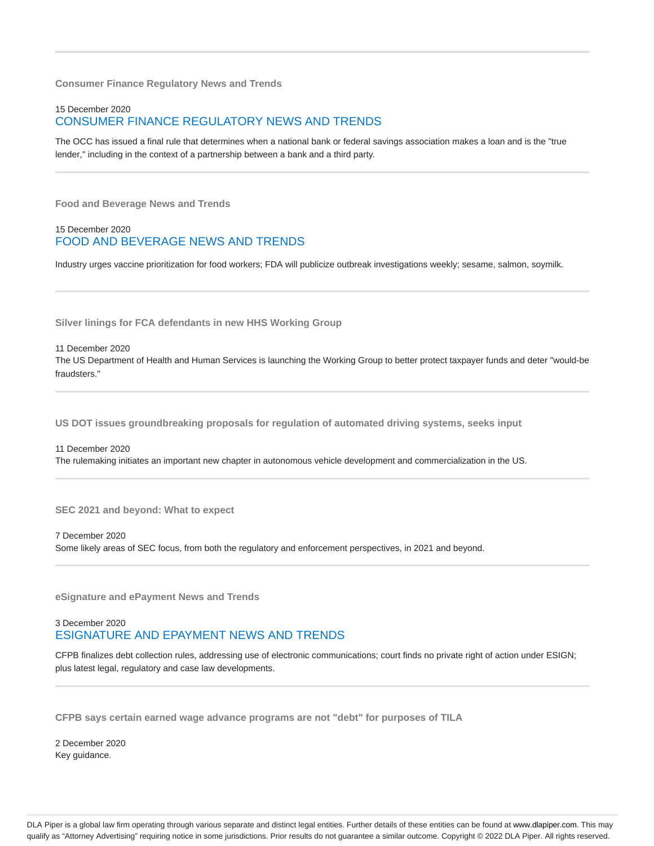**Consumer Finance Regulatory News and Trends**

### 15 December 2020 CONSUMER FINANCE REGULATORY NEWS AND TRENDS

The OCC has issued a final rule that determines when a national bank or federal savings association makes a loan and is the "true lender," including in the context of a partnership between a bank and a third party.

**Food and Beverage News and Trends**

#### 15 December 2020 FOOD AND BEVERAGE NEWS AND TRENDS

Industry urges vaccine prioritization for food workers; FDA will publicize outbreak investigations weekly; sesame, salmon, soymilk.

**Silver linings for FCA defendants in new HHS Working Group**

11 December 2020 The US Department of Health and Human Services is launching the Working Group to better protect taxpayer funds and deter "would-be fraudsters."

**US DOT issues groundbreaking proposals for regulation of automated driving systems, seeks input**

11 December 2020 The rulemaking initiates an important new chapter in autonomous vehicle development and commercialization in the US.

**SEC 2021 and beyond: What to expect**

7 December 2020 Some likely areas of SEC focus, from both the regulatory and enforcement perspectives, in 2021 and beyond.

**eSignature and ePayment News and Trends**

### 3 December 2020 ESIGNATURE AND EPAYMENT NEWS AND TRENDS

CFPB finalizes debt collection rules, addressing use of electronic communications; court finds no private right of action under ESIGN; plus latest legal, regulatory and case law developments.

**CFPB says certain earned wage advance programs are not "debt" for purposes of TILA**

2 December 2020 Key guidance.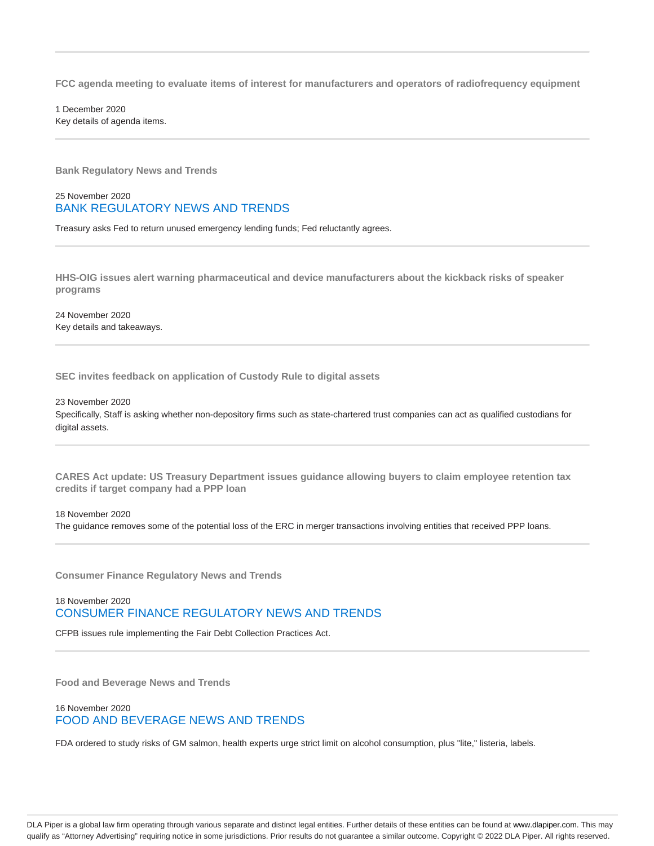**FCC agenda meeting to evaluate items of interest for manufacturers and operators of radiofrequency equipment**

1 December 2020 Key details of agenda items.

**Bank Regulatory News and Trends**

#### 25 November 2020 BANK REGULATORY NEWS AND TRENDS

Treasury asks Fed to return unused emergency lending funds; Fed reluctantly agrees.

**HHS-OIG issues alert warning pharmaceutical and device manufacturers about the kickback risks of speaker programs**

24 November 2020 Key details and takeaways.

**SEC invites feedback on application of Custody Rule to digital assets**

23 November 2020 Specifically, Staff is asking whether non-depository firms such as state-chartered trust companies can act as qualified custodians for digital assets.

**CARES Act update: US Treasury Department issues guidance allowing buyers to claim employee retention tax credits if target company had a PPP loan**

#### 18 November 2020

The guidance removes some of the potential loss of the ERC in merger transactions involving entities that received PPP loans.

**Consumer Finance Regulatory News and Trends**

### 18 November 2020 CONSUMER FINANCE REGULATORY NEWS AND TRENDS

CFPB issues rule implementing the Fair Debt Collection Practices Act.

**Food and Beverage News and Trends**

#### 16 November 2020 FOOD AND BEVERAGE NEWS AND TRENDS

FDA ordered to study risks of GM salmon, health experts urge strict limit on alcohol consumption, plus "lite," listeria, labels.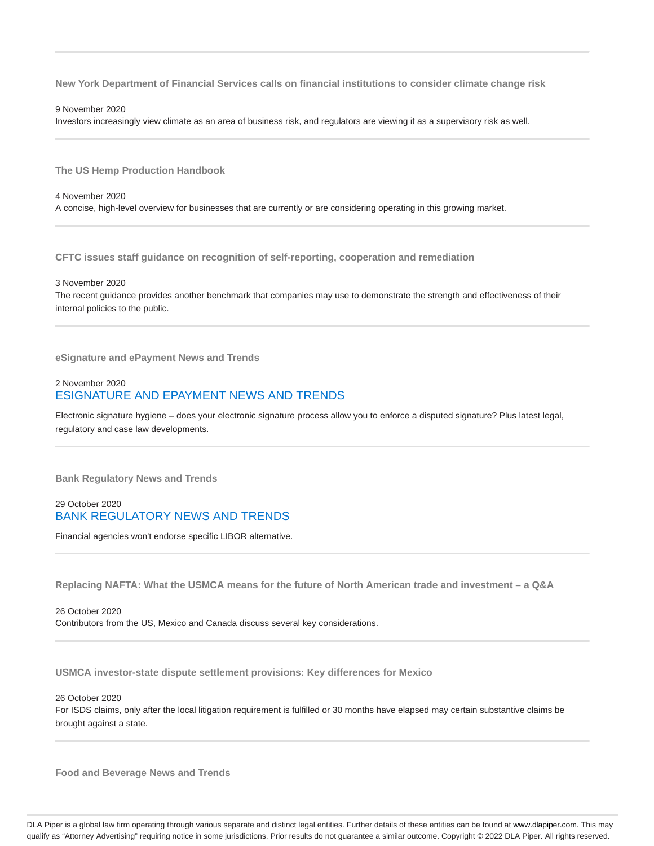**New York Department of Financial Services calls on financial institutions to consider climate change risk**

#### 9 November 2020

Investors increasingly view climate as an area of business risk, and regulators are viewing it as a supervisory risk as well.

**The US Hemp Production Handbook**

4 November 2020 A concise, high-level overview for businesses that are currently or are considering operating in this growing market.

**CFTC issues staff guidance on recognition of self-reporting, cooperation and remediation**

3 November 2020

The recent guidance provides another benchmark that companies may use to demonstrate the strength and effectiveness of their internal policies to the public.

**eSignature and ePayment News and Trends**

#### 2 November 2020 ESIGNATURE AND EPAYMENT NEWS AND TRENDS

Electronic signature hygiene – does your electronic signature process allow you to enforce a disputed signature? Plus latest legal, regulatory and case law developments.

**Bank Regulatory News and Trends**

#### 29 October 2020 BANK REGULATORY NEWS AND TRENDS

Financial agencies won't endorse specific LIBOR alternative.

**Replacing NAFTA: What the USMCA means for the future of North American trade and investment – a Q&A**

26 October 2020 Contributors from the US, Mexico and Canada discuss several key considerations.

**USMCA investor-state dispute settlement provisions: Key differences for Mexico**

26 October 2020

For ISDS claims, only after the local litigation requirement is fulfilled or 30 months have elapsed may certain substantive claims be brought against a state.

**Food and Beverage News and Trends**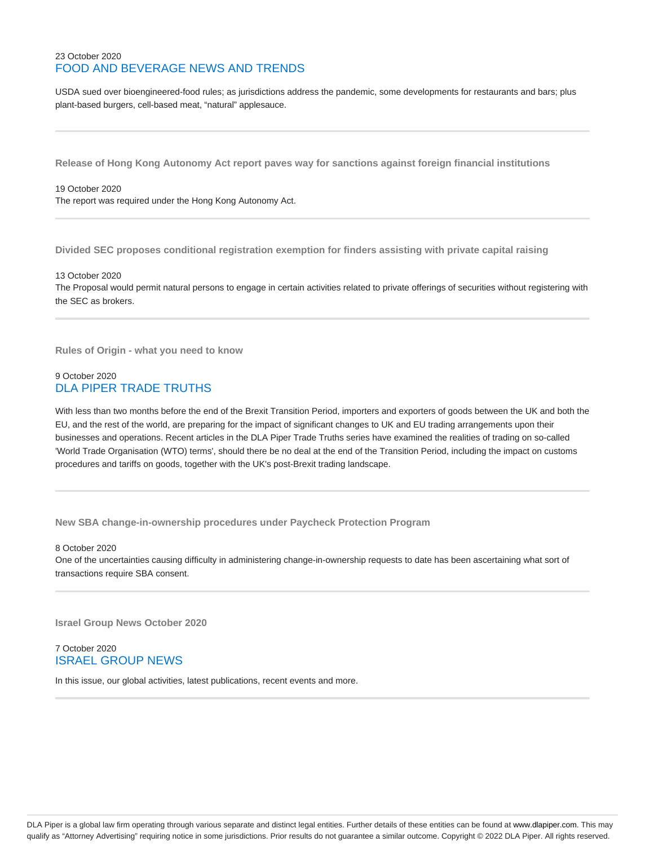### 23 October 2020 FOOD AND BEVERAGE NEWS AND TRENDS

USDA sued over bioengineered-food rules; as jurisdictions address the pandemic, some developments for restaurants and bars; plus plant-based burgers, cell-based meat, "natural" applesauce.

**Release of Hong Kong Autonomy Act report paves way for sanctions against foreign financial institutions**

19 October 2020 The report was required under the Hong Kong Autonomy Act.

**Divided SEC proposes conditional registration exemption for finders assisting with private capital raising**

13 October 2020

The Proposal would permit natural persons to engage in certain activities related to private offerings of securities without registering with the SEC as brokers.

**Rules of Origin - what you need to know**

### 9 October 2020 DLA PIPER TRADE TRUTHS

With less than two months before the end of the Brexit Transition Period, importers and exporters of goods between the UK and both the EU, and the rest of the world, are preparing for the impact of significant changes to UK and EU trading arrangements upon their businesses and operations. Recent articles in the DLA Piper Trade Truths series have examined the realities of trading on so-called 'World Trade Organisation (WTO) terms', should there be no deal at the end of the Transition Period, including the impact on customs procedures and tariffs on goods, together with the UK's post-Brexit trading landscape.

**New SBA change-in-ownership procedures under Paycheck Protection Program**

8 October 2020

One of the uncertainties causing difficulty in administering change-in-ownership requests to date has been ascertaining what sort of transactions require SBA consent.

**Israel Group News October 2020**

7 October 2020 ISRAEL GROUP NEWS

In this issue, our global activities, latest publications, recent events and more.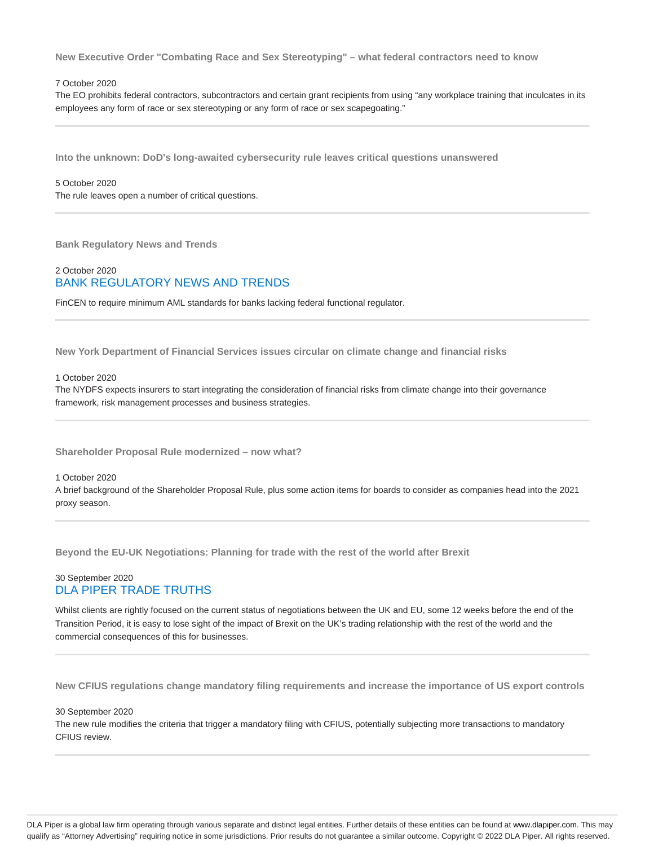**New Executive Order "Combating Race and Sex Stereotyping" – what federal contractors need to know**

#### 7 October 2020

The EO prohibits federal contractors, subcontractors and certain grant recipients from using "any workplace training that inculcates in its employees any form of race or sex stereotyping or any form of race or sex scapegoating."

**Into the unknown: DoD's long-awaited cybersecurity rule leaves critical questions unanswered**

#### 5 October 2020 The rule leaves open a number of critical questions.

**Bank Regulatory News and Trends**

### 2 October 2020 BANK REGULATORY NEWS AND TRENDS

FinCEN to require minimum AML standards for banks lacking federal functional regulator.

**New York Department of Financial Services issues circular on climate change and financial risks**

#### 1 October 2020

The NYDFS expects insurers to start integrating the consideration of financial risks from climate change into their governance framework, risk management processes and business strategies.

**Shareholder Proposal Rule modernized – now what?**

#### 1 October 2020

A brief background of the Shareholder Proposal Rule, plus some action items for boards to consider as companies head into the 2021 proxy season.

**Beyond the EU-UK Negotiations: Planning for trade with the rest of the world after Brexit**

#### 30 September 2020 DLA PIPER TRADE TRUTHS

Whilst clients are rightly focused on the current status of negotiations between the UK and EU, some 12 weeks before the end of the Transition Period, it is easy to lose sight of the impact of Brexit on the UK's trading relationship with the rest of the world and the commercial consequences of this for businesses.

**New CFIUS regulations change mandatory filing requirements and increase the importance of US export controls**

#### 30 September 2020

The new rule modifies the criteria that trigger a mandatory filing with CFIUS, potentially subjecting more transactions to mandatory CFIUS review.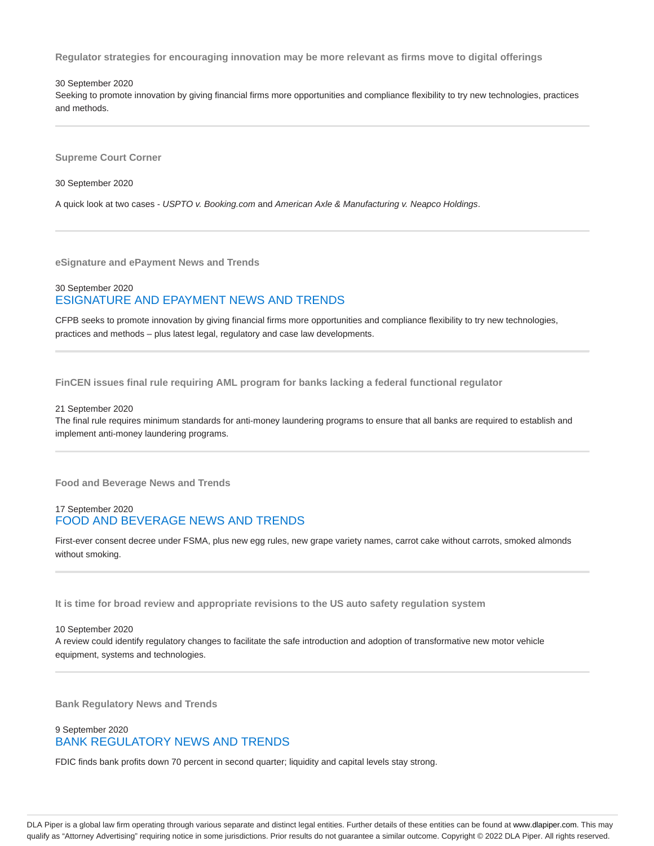**Regulator strategies for encouraging innovation may be more relevant as firms move to digital offerings**

30 September 2020

Seeking to promote innovation by giving financial firms more opportunities and compliance flexibility to try new technologies, practices and methods.

**Supreme Court Corner**

30 September 2020

A quick look at two cases - USPTO v. Booking.com and American Axle & Manufacturing v. Neapco Holdings.

**eSignature and ePayment News and Trends**

### 30 September 2020 ESIGNATURE AND EPAYMENT NEWS AND TRENDS

CFPB seeks to promote innovation by giving financial firms more opportunities and compliance flexibility to try new technologies, practices and methods – plus latest legal, regulatory and case law developments.

**FinCEN issues final rule requiring AML program for banks lacking a federal functional regulator**

#### 21 September 2020

The final rule requires minimum standards for anti-money laundering programs to ensure that all banks are required to establish and implement anti-money laundering programs.

**Food and Beverage News and Trends**

#### 17 September 2020 FOOD AND BEVERAGE NEWS AND TRENDS

First-ever consent decree under FSMA, plus new egg rules, new grape variety names, carrot cake without carrots, smoked almonds without smoking.

**It is time for broad review and appropriate revisions to the US auto safety regulation system**

10 September 2020 A review could identify regulatory changes to facilitate the safe introduction and adoption of transformative new motor vehicle equipment, systems and technologies.

**Bank Regulatory News and Trends**

#### 9 September 2020 BANK REGULATORY NEWS AND TRENDS

FDIC finds bank profits down 70 percent in second quarter; liquidity and capital levels stay strong.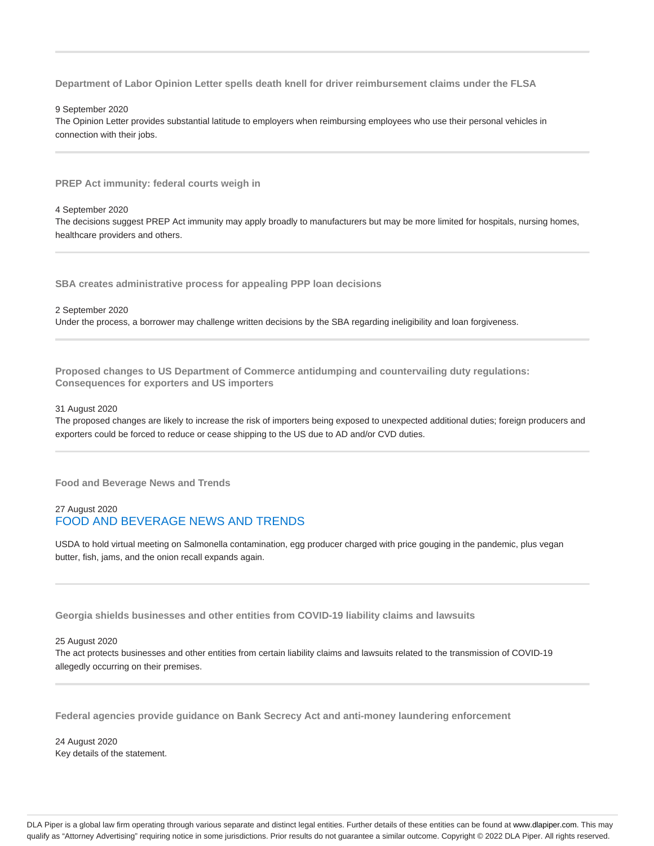**Department of Labor Opinion Letter spells death knell for driver reimbursement claims under the FLSA**

9 September 2020

The Opinion Letter provides substantial latitude to employers when reimbursing employees who use their personal vehicles in connection with their jobs.

**PREP Act immunity: federal courts weigh in**

4 September 2020

The decisions suggest PREP Act immunity may apply broadly to manufacturers but may be more limited for hospitals, nursing homes, healthcare providers and others.

**SBA creates administrative process for appealing PPP loan decisions**

2 September 2020 Under the process, a borrower may challenge written decisions by the SBA regarding ineligibility and loan forgiveness.

**Proposed changes to US Department of Commerce antidumping and countervailing duty regulations: Consequences for exporters and US importers**

#### 31 August 2020

The proposed changes are likely to increase the risk of importers being exposed to unexpected additional duties; foreign producers and exporters could be forced to reduce or cease shipping to the US due to AD and/or CVD duties.

**Food and Beverage News and Trends**

### 27 August 2020 FOOD AND BEVERAGE NEWS AND TRENDS

USDA to hold virtual meeting on Salmonella contamination, egg producer charged with price gouging in the pandemic, plus vegan butter, fish, jams, and the onion recall expands again.

**Georgia shields businesses and other entities from COVID-19 liability claims and lawsuits**

#### 25 August 2020

The act protects businesses and other entities from certain liability claims and lawsuits related to the transmission of COVID-19 allegedly occurring on their premises.

**Federal agencies provide guidance on Bank Secrecy Act and anti-money laundering enforcement**

24 August 2020 Key details of the statement.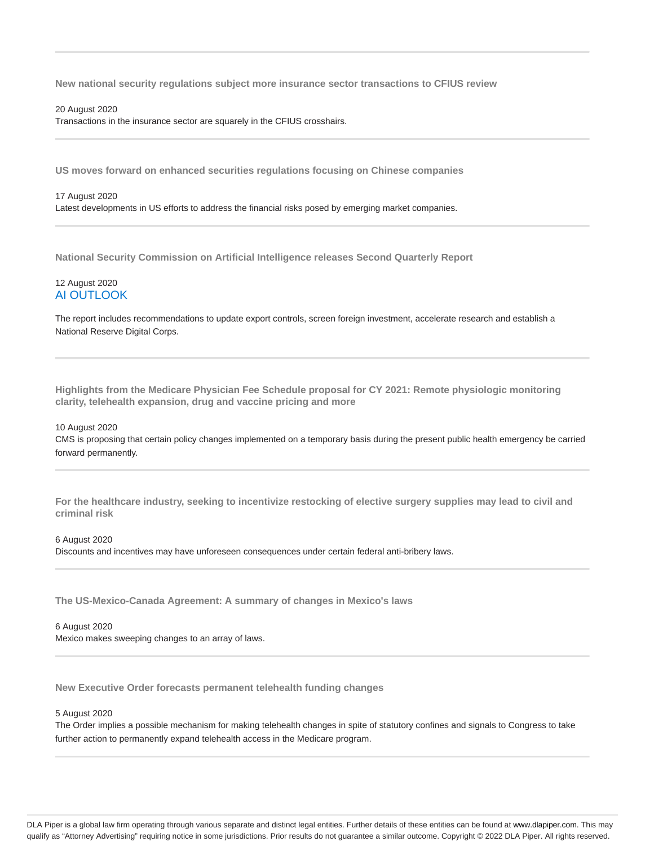**New national security regulations subject more insurance sector transactions to CFIUS review**

#### 20 August 2020

Transactions in the insurance sector are squarely in the CFIUS crosshairs.

**US moves forward on enhanced securities regulations focusing on Chinese companies**

#### 17 August 2020

Latest developments in US efforts to address the financial risks posed by emerging market companies.

**National Security Commission on Artificial Intelligence releases Second Quarterly Report**

#### 12 August 2020 AI OUTLOOK

The report includes recommendations to update export controls, screen foreign investment, accelerate research and establish a National Reserve Digital Corps.

**Highlights from the Medicare Physician Fee Schedule proposal for CY 2021: Remote physiologic monitoring clarity, telehealth expansion, drug and vaccine pricing and more**

#### 10 August 2020

CMS is proposing that certain policy changes implemented on a temporary basis during the present public health emergency be carried forward permanently.

**For the healthcare industry, seeking to incentivize restocking of elective surgery supplies may lead to civil and criminal risk**

#### 6 August 2020

Discounts and incentives may have unforeseen consequences under certain federal anti-bribery laws.

**The US-Mexico-Canada Agreement: A summary of changes in Mexico's laws**

### 6 August 2020

Mexico makes sweeping changes to an array of laws.

**New Executive Order forecasts permanent telehealth funding changes**

#### 5 August 2020

The Order implies a possible mechanism for making telehealth changes in spite of statutory confines and signals to Congress to take further action to permanently expand telehealth access in the Medicare program.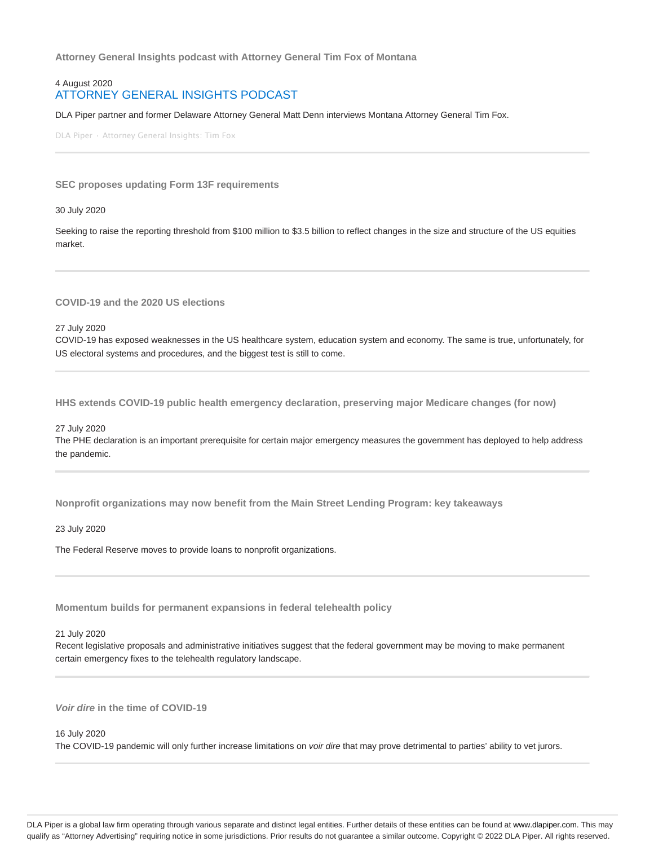**Attorney General Insights podcast with Attorney General Tim Fox of Montana**

#### 4 August 2020 ATTORNEY GENERAL INSIGHTS PODCAST

DLA Piper partner and former Delaware Attorney General Matt Denn interviews Montana Attorney General Tim Fox.

DLA Piper · Attorney General Insights: Tim Fox

#### **SEC proposes updating Form 13F requirements**

30 July 2020

Seeking to raise the reporting threshold from \$100 million to \$3.5 billion to reflect changes in the size and structure of the US equities market.

**COVID-19 and the 2020 US elections**

27 July 2020

COVID-19 has exposed weaknesses in the US healthcare system, education system and economy. The same is true, unfortunately, for US electoral systems and procedures, and the biggest test is still to come.

**HHS extends COVID-19 public health emergency declaration, preserving major Medicare changes (for now)**

27 July 2020

The PHE declaration is an important prerequisite for certain major emergency measures the government has deployed to help address the pandemic.

**Nonprofit organizations may now benefit from the Main Street Lending Program: key takeaways**

23 July 2020

The Federal Reserve moves to provide loans to nonprofit organizations.

**Momentum builds for permanent expansions in federal telehealth policy**

21 July 2020

Recent legislative proposals and administrative initiatives suggest that the federal government may be moving to make permanent certain emergency fixes to the telehealth regulatory landscape.

**Voir dire in the time of COVID-19**

#### 16 July 2020

The COVID-19 pandemic will only further increase limitations on voir dire that may prove detrimental to parties' ability to vet jurors.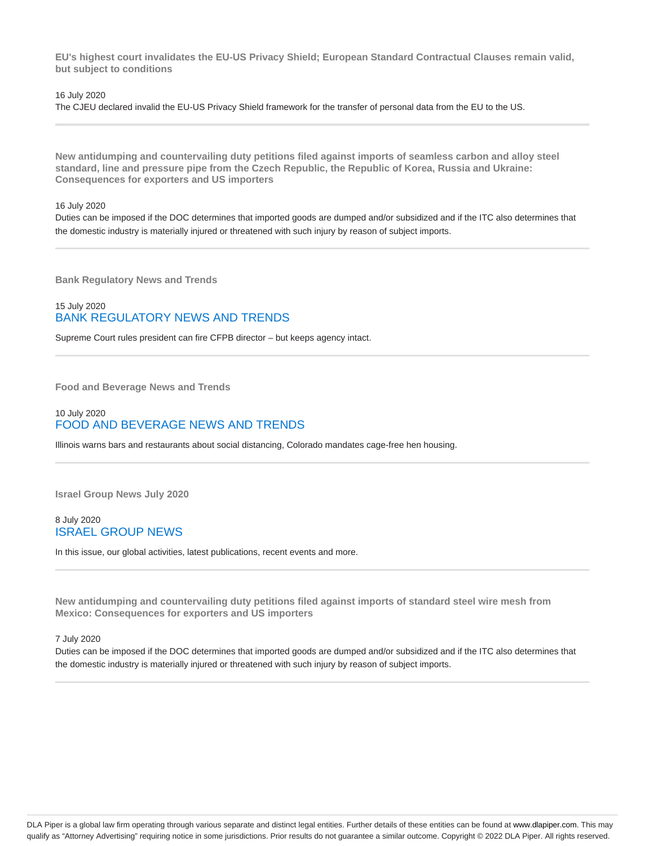**EU's highest court invalidates the EU-US Privacy Shield; European Standard Contractual Clauses remain valid, but subject to conditions**

#### 16 July 2020

The CJEU declared invalid the EU-US Privacy Shield framework for the transfer of personal data from the EU to the US.

**New antidumping and countervailing duty petitions filed against imports of seamless carbon and alloy steel standard, line and pressure pipe from the Czech Republic, the Republic of Korea, Russia and Ukraine: Consequences for exporters and US importers**

16 July 2020

Duties can be imposed if the DOC determines that imported goods are dumped and/or subsidized and if the ITC also determines that the domestic industry is materially injured or threatened with such injury by reason of subject imports.

**Bank Regulatory News and Trends**

### 15 July 2020 BANK REGULATORY NEWS AND TRENDS

Supreme Court rules president can fire CFPB director – but keeps agency intact.

**Food and Beverage News and Trends**

#### 10 July 2020 FOOD AND BEVERAGE NEWS AND TRENDS

Illinois warns bars and restaurants about social distancing, Colorado mandates cage-free hen housing.

**Israel Group News July 2020**

8 July 2020 ISRAEL GROUP NEWS

In this issue, our global activities, latest publications, recent events and more.

**New antidumping and countervailing duty petitions filed against imports of standard steel wire mesh from Mexico: Consequences for exporters and US importers**

7 July 2020

Duties can be imposed if the DOC determines that imported goods are dumped and/or subsidized and if the ITC also determines that the domestic industry is materially injured or threatened with such injury by reason of subject imports.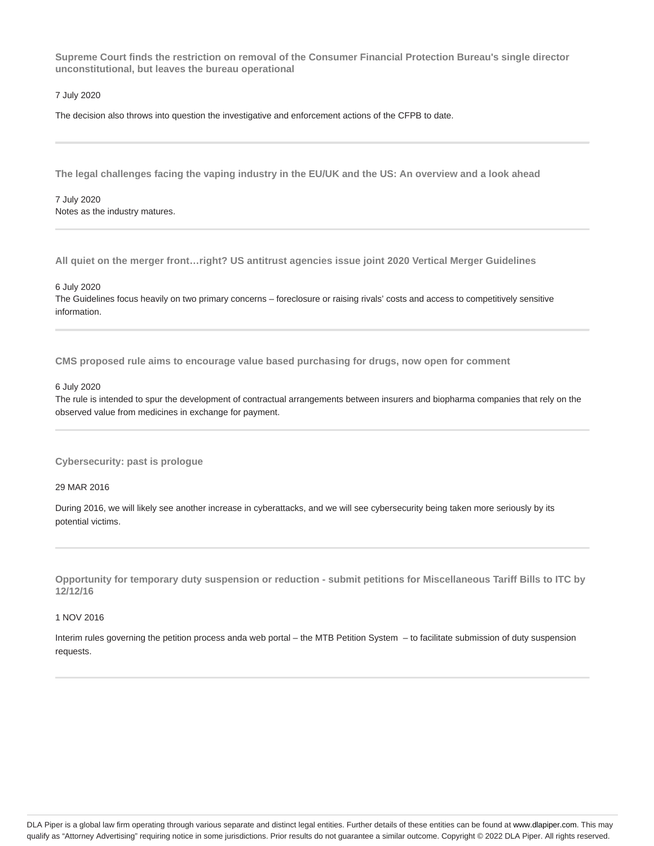**Supreme Court finds the restriction on removal of the Consumer Financial Protection Bureau's single director unconstitutional, but leaves the bureau operational**

7 July 2020

The decision also throws into question the investigative and enforcement actions of the CFPB to date.

**The legal challenges facing the vaping industry in the EU/UK and the US: An overview and a look ahead**

7 July 2020 Notes as the industry matures.

**All quiet on the merger front…right? US antitrust agencies issue joint 2020 Vertical Merger Guidelines**

6 July 2020

The Guidelines focus heavily on two primary concerns – foreclosure or raising rivals' costs and access to competitively sensitive information.

**CMS proposed rule aims to encourage value based purchasing for drugs, now open for comment**

#### 6 July 2020

The rule is intended to spur the development of contractual arrangements between insurers and biopharma companies that rely on the observed value from medicines in exchange for payment.

**Cybersecurity: past is prologue**

29 MAR 2016

During 2016, we will likely see another increase in cyberattacks, and we will see cybersecurity being taken more seriously by its potential victims.

**Opportunity for temporary duty suspension or reduction - submit petitions for Miscellaneous Tariff Bills to ITC by 12/12/16**

#### 1 NOV 2016

Interim rules governing the petition process anda web portal – the MTB Petition System – to facilitate submission of duty suspension requests.